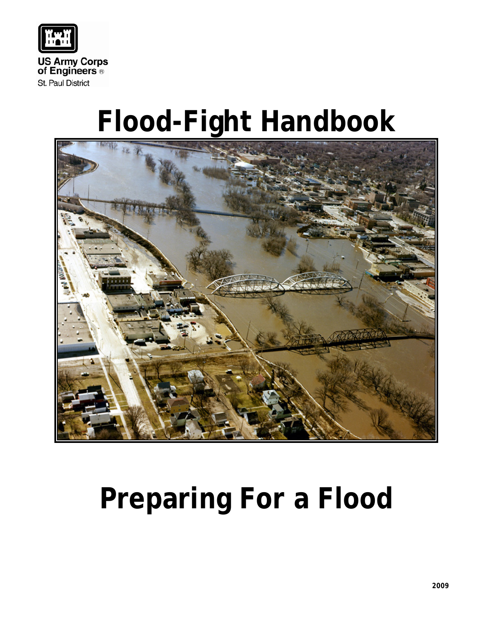

# **Flood-Fight Handbook**



# **Preparing For a Flood**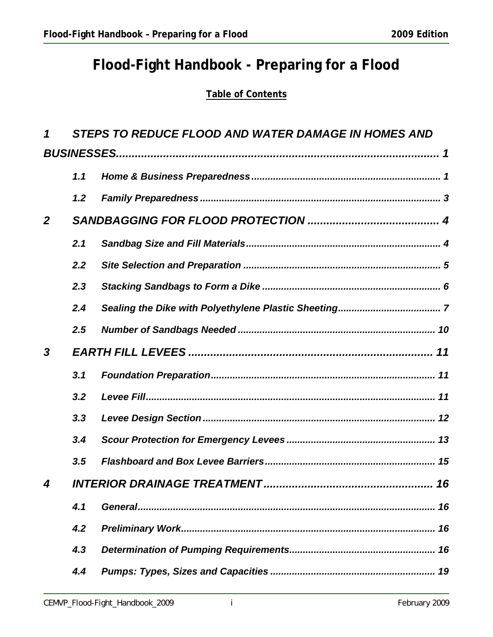## **Flood-Fight Handbook - Preparing for a Flood**

## **Table of Contents**

| 1                          | <b>STEPS TO REDUCE FLOOD AND WATER DAMAGE IN HOMES AND</b> |    |  |  |
|----------------------------|------------------------------------------------------------|----|--|--|
|                            |                                                            |    |  |  |
|                            | 1.1                                                        |    |  |  |
|                            | 1.2                                                        |    |  |  |
| $\overline{2}$             |                                                            |    |  |  |
|                            | 2.1                                                        |    |  |  |
|                            | 2.2                                                        |    |  |  |
|                            | 2.3                                                        |    |  |  |
|                            | 2.4                                                        |    |  |  |
|                            | 2.5                                                        |    |  |  |
| 3                          |                                                            |    |  |  |
|                            | 3.1                                                        |    |  |  |
|                            | 3.2                                                        |    |  |  |
|                            | 3.3                                                        |    |  |  |
|                            | 3.4                                                        |    |  |  |
|                            | 3.5                                                        |    |  |  |
| $\boldsymbol{\mathcal{A}}$ |                                                            | 16 |  |  |
|                            | 4.1                                                        |    |  |  |
|                            | 4.2                                                        |    |  |  |
|                            | 4.3                                                        |    |  |  |
|                            | 4.4                                                        |    |  |  |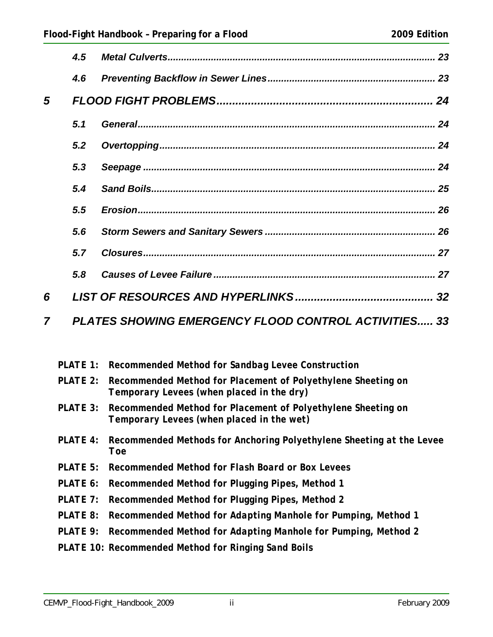|   | 4.5 |                                                             |
|---|-----|-------------------------------------------------------------|
|   | 4.6 |                                                             |
| 5 |     |                                                             |
|   | 5.1 |                                                             |
|   | 5.2 |                                                             |
|   | 5.3 |                                                             |
|   | 5.4 |                                                             |
|   | 5.5 |                                                             |
|   | 5.6 |                                                             |
|   | 5.7 |                                                             |
|   | 5.8 |                                                             |
| 6 |     |                                                             |
| 7 |     | <b>PLATES SHOWING EMERGENCY FLOOD CONTROL ACTIVITIES 33</b> |

- *PLATE 1: Recommended Method for Sandbag Levee Construction*
- *PLATE 2: Recommended Method for Placement of Polyethylene Sheeting on Temporary Levees (when placed in the dry)*
- *PLATE 3: Recommended Method for Placement of Polyethylene Sheeting on Temporary Levees (when placed in the wet)*
- *PLATE 4: Recommended Methods for Anchoring Polyethylene Sheeting at the Levee Toe*
- *PLATE 5: Recommended Method for Flash Board or Box Levees*
- *PLATE 6: Recommended Method for Plugging Pipes, Method 1*
- *PLATE 7: Recommended Method for Plugging Pipes, Method 2*
- *PLATE 8: Recommended Method for Adapting Manhole for Pumping, Method 1*
- *PLATE 9: Recommended Method for Adapting Manhole for Pumping, Method 2*
- *PLATE 10: Recommended Method for Ringing Sand Boils*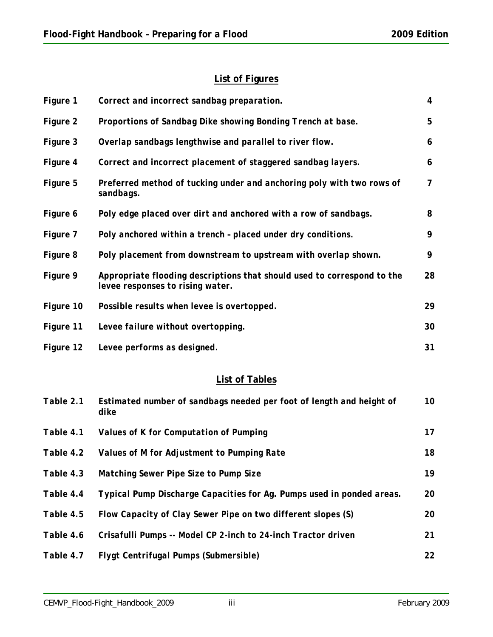#### **List of Figures**

| Figure 1  | Correct and incorrect sandbag preparation.                                                                  | 4              |
|-----------|-------------------------------------------------------------------------------------------------------------|----------------|
| Figure 2  | Proportions of Sandbag Dike showing Bonding Trench at base.                                                 | 5              |
| Figure 3  | Overlap sandbags lengthwise and parallel to river flow.                                                     | 6              |
| Figure 4  | Correct and incorrect placement of staggered sandbag layers.                                                | 6              |
| Figure 5  | Preferred method of tucking under and anchoring poly with two rows of<br>sandbags.                          | $\overline{7}$ |
| Figure 6  | Poly edge placed over dirt and anchored with a row of sandbags.                                             | 8              |
| Figure 7  | Poly anchored within a trench - placed under dry conditions.                                                | 9              |
| Figure 8  | Poly placement from downstream to upstream with overlap shown.                                              | 9              |
| Figure 9  | Appropriate flooding descriptions that should used to correspond to the<br>levee responses to rising water. | 28             |
| Figure 10 | Possible results when levee is overtopped.                                                                  | 29             |
| Figure 11 | Levee failure without overtopping.                                                                          | 30             |
| Figure 12 | Levee performs as designed.                                                                                 | 31             |

### **List of Tables**

| Table 2.1 | Estimated number of sandbags needed per foot of length and height of<br>dike | 10        |
|-----------|------------------------------------------------------------------------------|-----------|
| Table 4.1 | Values of K for Computation of Pumping                                       | 17        |
| Table 4.2 | Values of M for Adjustment to Pumping Rate                                   | 18        |
| Table 4.3 | Matching Sewer Pipe Size to Pump Size                                        | 19        |
| Table 4.4 | Typical Pump Discharge Capacities for Ag. Pumps used in ponded areas.        | 20        |
| Table 4.5 | Flow Capacity of Clay Sewer Pipe on two different slopes (S)                 | <i>20</i> |
| Table 4.6 | Crisafulli Pumps -- Model CP 2-inch to 24-inch Tractor driven                | 21        |
| Table 4.7 | Flygt Centrifugal Pumps (Submersible)                                        | 22        |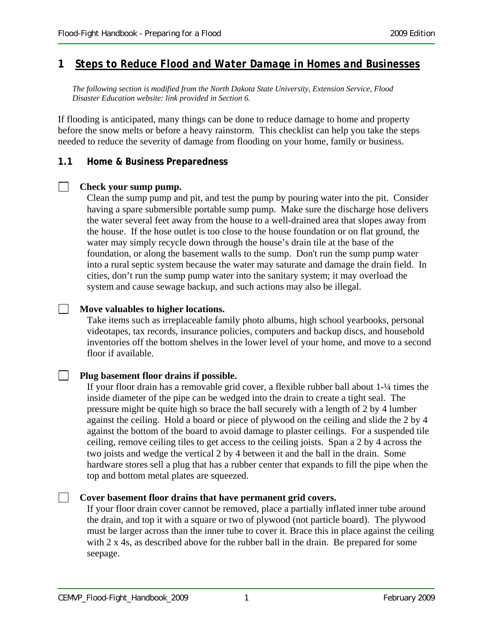#### **1** *Steps to Reduce Flood and Water Damage in Homes and Businesses*

*The following section is modified from the North Dakota State University, Extension Service, Flood Disaster Education website: link provided in Section 6.* 

If flooding is anticipated, many things can be done to reduce damage to home and property before the snow melts or before a heavy rainstorm. This checklist can help you take the steps needed to reduce the severity of damage from flooding on your home, family or business.

#### **1.1 Home & Business Preparedness**

#### $\Box$ **Check your sump pump.**

 $\blacksquare$ 

Clean the sump pump and pit, and test the pump by pouring water into the pit. Consider having a spare submersible portable sump pump. Make sure the discharge hose delivers the water several feet away from the house to a well-drained area that slopes away from the house. If the hose outlet is too close to the house foundation or on flat ground, the water may simply recycle down through the house's drain tile at the base of the foundation, or along the basement walls to the sump. Don't run the sump pump water into a rural septic system because the water may saturate and damage the drain field. In cities, don't run the sump pump water into the sanitary system; it may overload the system and cause sewage backup, and such actions may also be illegal.

#### **Move valuables to higher locations.**

Take items such as irreplaceable family photo albums, high school yearbooks, personal videotapes, tax records, insurance policies, computers and backup discs, and household inventories off the bottom shelves in the lower level of your home, and move to a second floor if available.

#### **Plug basement floor drains if possible.**

If your floor drain has a removable grid cover, a flexible rubber ball about 1-¼ times the inside diameter of the pipe can be wedged into the drain to create a tight seal. The pressure might be quite high so brace the ball securely with a length of 2 by 4 lumber against the ceiling. Hold a board or piece of plywood on the ceiling and slide the 2 by 4 against the bottom of the board to avoid damage to plaster ceilings. For a suspended tile ceiling, remove ceiling tiles to get access to the ceiling joists. Span a 2 by 4 across the two joists and wedge the vertical 2 by 4 between it and the ball in the drain. Some hardware stores sell a plug that has a rubber center that expands to fill the pipe when the top and bottom metal plates are squeezed.

#### **Cover basement floor drains that have permanent grid covers.**

If your floor drain cover cannot be removed, place a partially inflated inner tube around the drain, and top it with a square or two of plywood (not particle board). The plywood must be larger across than the inner tube to cover it. Brace this in place against the ceiling with 2 x 4s, as described above for the rubber ball in the drain. Be prepared for some seepage.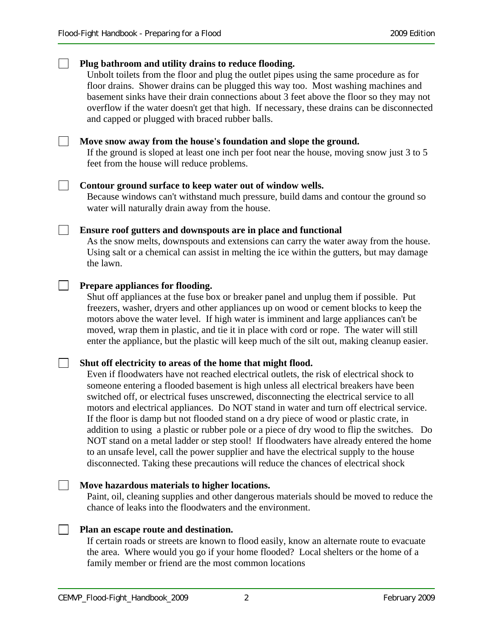#### **Plug bathroom and utility drains to reduce flooding.**  Unbolt toilets from the floor and plug the outlet pipes using the same procedure as for floor drains. Shower drains can be plugged this way too. Most washing machines and basement sinks have their drain connections about 3 feet above the floor so they may not overflow if the water doesn't get that high. If necessary, these drains can be disconnected and capped or plugged with braced rubber balls.  $\Box$ **Move snow away from the house's foundation and slope the ground.** If the ground is sloped at least one inch per foot near the house, moving snow just 3 to 5 feet from the house will reduce problems.  $\Box$ **Contour ground surface to keep water out of window wells.**  Because windows can't withstand much pressure, build dams and contour the ground so water will naturally drain away from the house. **Ensure roof gutters and downspouts are in place and functional**  As the snow melts, downspouts and extensions can carry the water away from the house. Using salt or a chemical can assist in melting the ice within the gutters, but may damage the lawn. **Prepare appliances for flooding.**  Shut off appliances at the fuse box or breaker panel and unplug them if possible. Put freezers, washer, dryers and other appliances up on wood or cement blocks to keep the motors above the water level. If high water is imminent and large appliances can't be moved, wrap them in plastic, and tie it in place with cord or rope. The water will still enter the appliance, but the plastic will keep much of the silt out, making cleanup easier. **Shut off electricity to areas of the home that might flood.**  Even if floodwaters have not reached electrical outlets, the risk of electrical shock to someone entering a flooded basement is high unless all electrical breakers have been switched off, or electrical fuses unscrewed, disconnecting the electrical service to all motors and electrical appliances. Do NOT stand in water and turn off electrical service. If the floor is damp but not flooded stand on a dry piece of wood or plastic crate, in addition to using a plastic or rubber pole or a piece of dry wood to flip the switches. Do NOT stand on a metal ladder or step stool! If floodwaters have already entered the home to an unsafe level, call the power supplier and have the electrical supply to the house disconnected. Taking these precautions will reduce the chances of electrical shock  $\Box$ **Move hazardous materials to higher locations.**  Paint, oil, cleaning supplies and other dangerous materials should be moved to reduce the chance of leaks into the floodwaters and the environment. **Plan an escape route and destination.**

If certain roads or streets are known to flood easily, know an alternate route to evacuate the area. Where would you go if your home flooded? Local shelters or the home of a family member or friend are the most common locations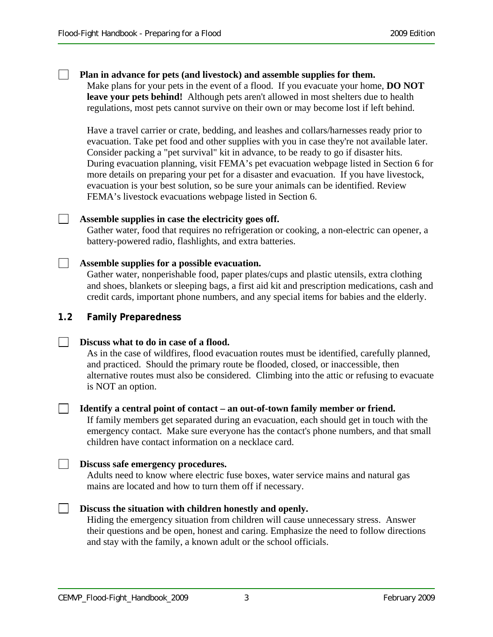#### **Plan in advance for pets (and livestock) and assemble supplies for them.**

Make plans for your pets in the event of a flood. If you evacuate your home, **DO NOT leave your pets behind!** Although pets aren't allowed in most shelters due to health regulations, most pets cannot survive on their own or may become lost if left behind.

Have a travel carrier or crate, bedding, and leashes and collars/harnesses ready prior to evacuation. Take pet food and other supplies with you in case they're not available later. Consider packing a "pet survival" kit in advance, to be ready to go if disaster hits. During evacuation planning, visit FEMA's pet evacuation webpage listed in Section 6 for more details on preparing your pet for a disaster and evacuation. If you have livestock, evacuation is your best solution, so be sure your animals can be identified. Review FEMA's livestock evacuations webpage listed in Section 6.

#### $\Box$ **Assemble supplies in case the electricity goes off.**

Gather water, food that requires no refrigeration or cooking, a non-electric can opener, a battery-powered radio, flashlights, and extra batteries.

#### **Assemble supplies for a possible evacuation.**

Gather water, nonperishable food, paper plates/cups and plastic utensils, extra clothing and shoes, blankets or sleeping bags, a first aid kit and prescription medications, cash and credit cards, important phone numbers, and any special items for babies and the elderly.

#### **1.2 Family Preparedness**

#### **Discuss what to do in case of a flood.**   $\Box$

As in the case of wildfires, flood evacuation routes must be identified, carefully planned, and practiced. Should the primary route be flooded, closed, or inaccessible, then alternative routes must also be considered. Climbing into the attic or refusing to evacuate is NOT an option.

#### **Identify a central point of contact – an out-of-town family member or friend.**

If family members get separated during an evacuation, each should get in touch with the emergency contact. Make sure everyone has the contact's phone numbers, and that small children have contact information on a necklace card.

#### **Discuss safe emergency procedures.**

Adults need to know where electric fuse boxes, water service mains and natural gas mains are located and how to turn them off if necessary.

#### $\Box$ **Discuss the situation with children honestly and openly.**

Hiding the emergency situation from children will cause unnecessary stress. Answer their questions and be open, honest and caring. Emphasize the need to follow directions and stay with the family, a known adult or the school officials.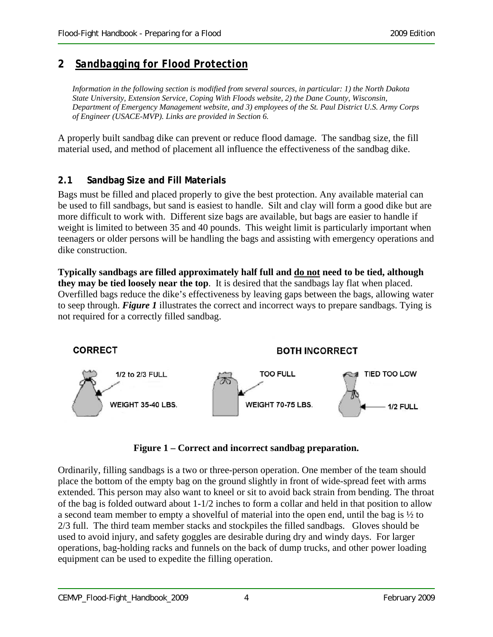#### **2** *Sandbagging for Flood Protection*

*Information in the following section is modified from several sources, in particular: 1) the North Dakota State University, Extension Service, Coping With Floods website, 2) the Dane County, Wisconsin, Department of Emergency Management website, and 3) employees of the St. Paul District U.S. Army Corps of Engineer (USACE-MVP). Links are provided in Section 6.* 

A properly built sandbag dike can prevent or reduce flood damage. The sandbag size, the fill material used, and method of placement all influence the effectiveness of the sandbag dike.

#### **2.1 Sandbag Size and Fill Materials**

Bags must be filled and placed properly to give the best protection. Any available material can be used to fill sandbags, but sand is easiest to handle. Silt and clay will form a good dike but are more difficult to work with. Different size bags are available, but bags are easier to handle if weight is limited to between 35 and 40 pounds. This weight limit is particularly important when teenagers or older persons will be handling the bags and assisting with emergency operations and dike construction.

**Typically sandbags are filled approximately half full and do not need to be tied, although they may be tied loosely near the top**. It is desired that the sandbags lay flat when placed. Overfilled bags reduce the dike's effectiveness by leaving gaps between the bags, allowing water to seep through. *Figure 1* illustrates the correct and incorrect ways to prepare sandbags. Tying is not required for a correctly filled sandbag.



**Figure 1 – Correct and incorrect sandbag preparation.** 

Ordinarily, filling sandbags is a two or three-person operation. One member of the team should place the bottom of the empty bag on the ground slightly in front of wide-spread feet with arms extended. This person may also want to kneel or sit to avoid back strain from bending. The throat of the bag is folded outward about 1-1/2 inches to form a collar and held in that position to allow a second team member to empty a shovelful of material into the open end, until the bag is ½ to 2/3 full. The third team member stacks and stockpiles the filled sandbags. Gloves should be used to avoid injury, and safety goggles are desirable during dry and windy days. For larger operations, bag-holding racks and funnels on the back of dump trucks, and other power loading equipment can be used to expedite the filling operation.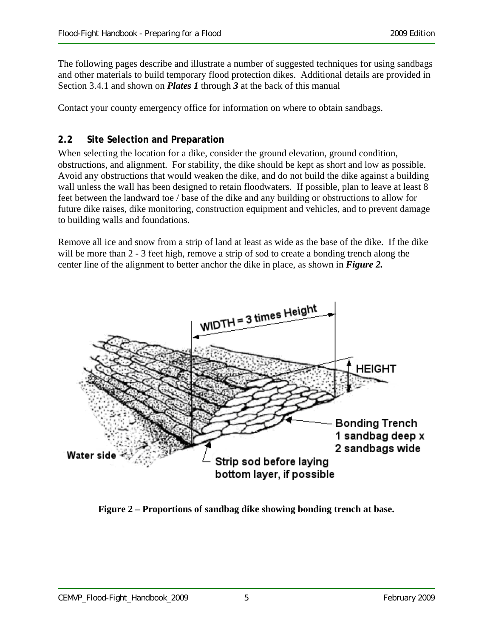The following pages describe and illustrate a number of suggested techniques for using sandbags and other materials to build temporary flood protection dikes. Additional details are provided in Section 3.4.1 and shown on *Plates 1* through *3* at the back of this manual

Contact your county emergency office for information on where to obtain sandbags.

#### **2.2 Site Selection and Preparation**

When selecting the location for a dike, consider the ground elevation, ground condition, obstructions, and alignment. For stability, the dike should be kept as short and low as possible. Avoid any obstructions that would weaken the dike, and do not build the dike against a building wall unless the wall has been designed to retain floodwaters. If possible, plan to leave at least 8 feet between the landward toe / base of the dike and any building or obstructions to allow for future dike raises, dike monitoring, construction equipment and vehicles, and to prevent damage to building walls and foundations.

Remove all ice and snow from a strip of land at least as wide as the base of the dike. If the dike will be more than 2 - 3 feet high, remove a strip of sod to create a bonding trench along the center line of the alignment to better anchor the dike in place, as shown in *Figure 2.*



**Figure 2 – Proportions of sandbag dike showing bonding trench at base.**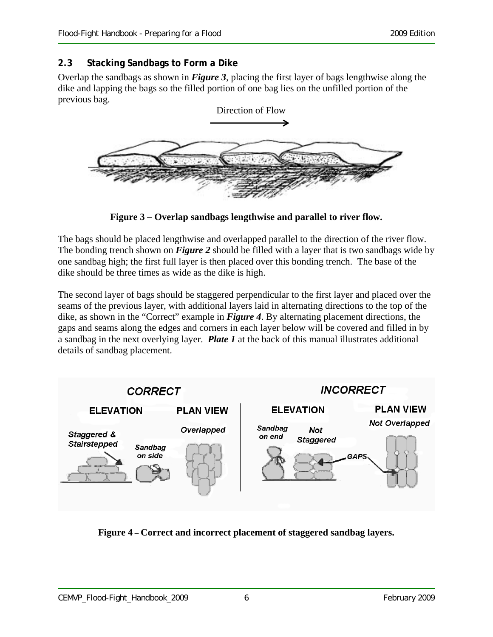#### **2.3 Stacking Sandbags to Form a Dike**

Overlap the sandbags as shown in *Figure 3*, placing the first layer of bags lengthwise along the dike and lapping the bags so the filled portion of one bag lies on the unfilled portion of the previous bag.



**Figure 3 – Overlap sandbags lengthwise and parallel to river flow.** 

The bags should be placed lengthwise and overlapped parallel to the direction of the river flow. The bonding trench shown on *Figure 2* should be filled with a layer that is two sandbags wide by one sandbag high; the first full layer is then placed over this bonding trench. The base of the dike should be three times as wide as the dike is high.

The second layer of bags should be staggered perpendicular to the first layer and placed over the seams of the previous layer, with additional layers laid in alternating directions to the top of the dike, as shown in the "Correct" example in *Figure 4*. By alternating placement directions, the gaps and seams along the edges and corners in each layer below will be covered and filled in by a sandbag in the next overlying layer. *Plate 1* at the back of this manual illustrates additional details of sandbag placement.



**Figure 4 – Correct and incorrect placement of staggered sandbag layers.**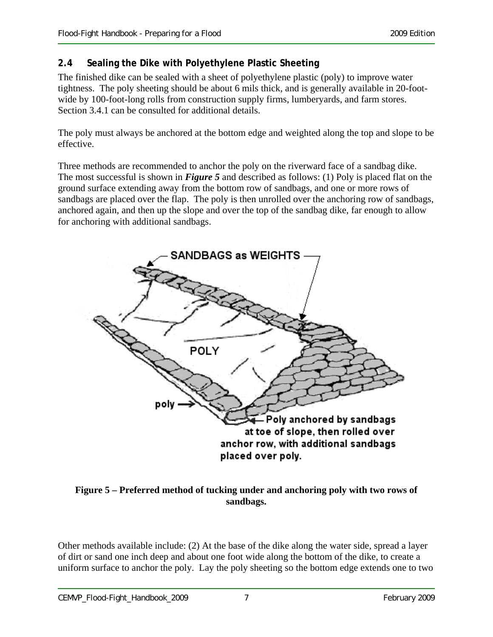#### **2.4 Sealing the Dike with Polyethylene Plastic Sheeting**

The finished dike can be sealed with a sheet of polyethylene plastic (poly) to improve water tightness. The poly sheeting should be about 6 mils thick, and is generally available in 20-footwide by 100-foot-long rolls from construction supply firms, lumberyards, and farm stores. Section 3.4.1 can be consulted for additional details.

The poly must always be anchored at the bottom edge and weighted along the top and slope to be effective.

Three methods are recommended to anchor the poly on the riverward face of a sandbag dike. The most successful is shown in *Figure 5* and described as follows: (1) Poly is placed flat on the ground surface extending away from the bottom row of sandbags, and one or more rows of sandbags are placed over the flap. The poly is then unrolled over the anchoring row of sandbags, anchored again, and then up the slope and over the top of the sandbag dike, far enough to allow for anchoring with additional sandbags.



#### **Figure 5 – Preferred method of tucking under and anchoring poly with two rows of sandbags.**

Other methods available include: (2) At the base of the dike along the water side, spread a layer of dirt or sand one inch deep and about one foot wide along the bottom of the dike, to create a uniform surface to anchor the poly. Lay the poly sheeting so the bottom edge extends one to two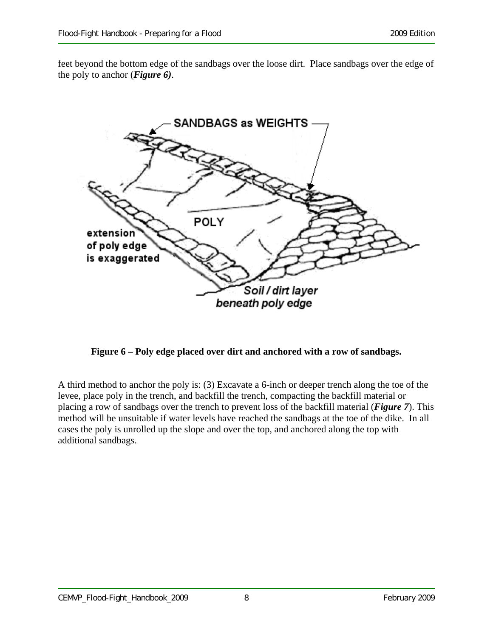feet beyond the bottom edge of the sandbags over the loose dirt. Place sandbags over the edge of the poly to anchor (*Figure 6)*.



**Figure 6 – Poly edge placed over dirt and anchored with a row of sandbags.** 

A third method to anchor the poly is: (3) Excavate a 6-inch or deeper trench along the toe of the levee, place poly in the trench, and backfill the trench, compacting the backfill material or placing a row of sandbags over the trench to prevent loss of the backfill material (*Figure 7*). This method will be unsuitable if water levels have reached the sandbags at the toe of the dike. In all cases the poly is unrolled up the slope and over the top, and anchored along the top with additional sandbags.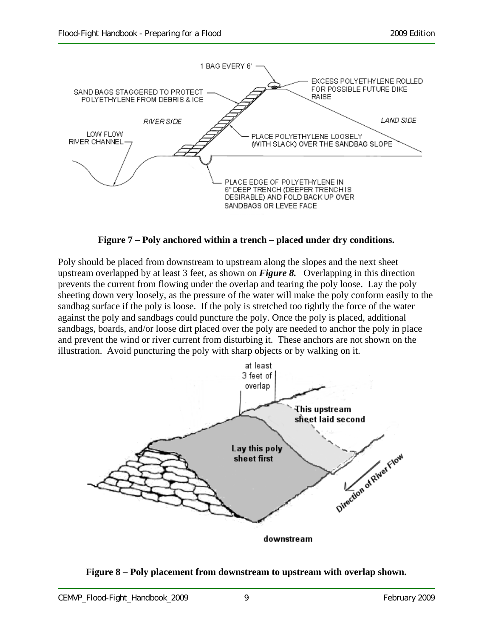

**Figure 7 – Poly anchored within a trench – placed under dry conditions.** 

Poly should be placed from downstream to upstream along the slopes and the next sheet upstream overlapped by at least 3 feet, as shown on *Figure 8.* Overlapping in this direction prevents the current from flowing under the overlap and tearing the poly loose. Lay the poly sheeting down very loosely, as the pressure of the water will make the poly conform easily to the sandbag surface if the poly is loose. If the poly is stretched too tightly the force of the water against the poly and sandbags could puncture the poly. Once the poly is placed, additional sandbags, boards, and/or loose dirt placed over the poly are needed to anchor the poly in place and prevent the wind or river current from disturbing it. These anchors are not shown on the illustration. Avoid puncturing the poly with sharp objects or by walking on it.



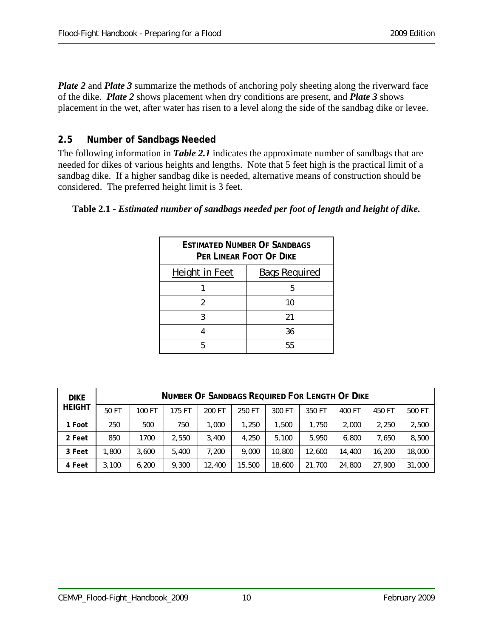*Plate 2* and *Plate 3* summarize the methods of anchoring poly sheeting along the riverward face of the dike. *Plate 2* shows placement when dry conditions are present, and *Plate 3* shows placement in the wet, after water has risen to a level along the side of the sandbag dike or levee.

#### **2.5 Number of Sandbags Needed**

The following information in *Table 2.1* indicates the approximate number of sandbags that are needed for dikes of various heights and lengths. Note that 5 feet high is the practical limit of a sandbag dike. If a higher sandbag dike is needed, alternative means of construction should be considered. The preferred height limit is 3 feet.

#### **Table 2.1 -** *Estimated number of sandbags needed per foot of length and height of dike.*

| <b>ESTIMATED NUMBER OF SANDBAGS</b><br>PER LINEAR FOOT OF DIKE |                      |  |  |
|----------------------------------------------------------------|----------------------|--|--|
| Height in Feet                                                 | <b>Bags Required</b> |  |  |
|                                                                | 5                    |  |  |
| 2                                                              | 10                   |  |  |
| 3                                                              | 21                   |  |  |
|                                                                | 36                   |  |  |
|                                                                | 55                   |  |  |

| <b>DIKE</b><br><b>HEIGHT</b> | <b>NUMBER OF SANDBAGS REQUIRED FOR LENGTH OF DIKE</b> |        |        |        |        |        |        |        |        |        |
|------------------------------|-------------------------------------------------------|--------|--------|--------|--------|--------|--------|--------|--------|--------|
|                              | 50 FT                                                 | 100 FT | 175 FT | 200 FT | 250 FT | 300 FT | 350 FT | 400 FT | 450 FT | 500 FT |
| 1 Foot                       | 250                                                   | 500    | 750    | 1.000  | 1,250  | 1,500  | 1,750  | 2,000  | 2.250  | 2,500  |
| 2 Feet                       | 850                                                   | 1700   | 2.550  | 3,400  | 4.250  | 5,100  | 5,950  | 6,800  | 7.650  | 8,500  |
| 3 Feet                       | .800                                                  | 3,600  | 5,400  | 7.200  | 9,000  | 10,800 | 12,600 | 14,400 | 16,200 | 18,000 |
| 4 Feet                       | 3,100                                                 | 6,200  | 9,300  | 12,400 | 15,500 | 18,600 | 21,700 | 24,800 | 27,900 | 31,000 |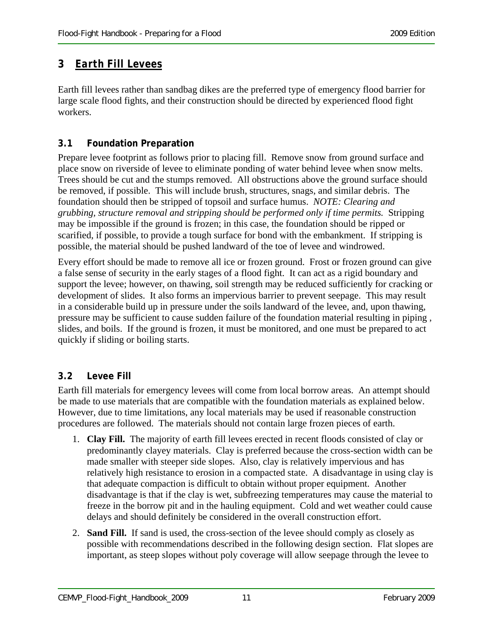## **3** *Earth Fill Levees*

Earth fill levees rather than sandbag dikes are the preferred type of emergency flood barrier for large scale flood fights, and their construction should be directed by experienced flood fight workers.

#### **3.1 Foundation Preparation**

Prepare levee footprint as follows prior to placing fill. Remove snow from ground surface and place snow on riverside of levee to eliminate ponding of water behind levee when snow melts. Trees should be cut and the stumps removed. All obstructions above the ground surface should be removed, if possible. This will include brush, structures, snags, and similar debris. The foundation should then be stripped of topsoil and surface humus. *NOTE: Clearing and grubbing, structure removal and stripping should be performed only if time permits.* Stripping may be impossible if the ground is frozen; in this case, the foundation should be ripped or scarified, if possible, to provide a tough surface for bond with the embankment. If stripping is possible, the material should be pushed landward of the toe of levee and windrowed.

Every effort should be made to remove all ice or frozen ground. Frost or frozen ground can give a false sense of security in the early stages of a flood fight. It can act as a rigid boundary and support the levee; however, on thawing, soil strength may be reduced sufficiently for cracking or development of slides. It also forms an impervious barrier to prevent seepage. This may result in a considerable build up in pressure under the soils landward of the levee, and, upon thawing, pressure may be sufficient to cause sudden failure of the foundation material resulting in piping , slides, and boils. If the ground is frozen, it must be monitored, and one must be prepared to act quickly if sliding or boiling starts.

#### **3.2 Levee Fill**

Earth fill materials for emergency levees will come from local borrow areas. An attempt should be made to use materials that are compatible with the foundation materials as explained below. However, due to time limitations, any local materials may be used if reasonable construction procedures are followed. The materials should not contain large frozen pieces of earth.

- 1. **Clay Fill.** The majority of earth fill levees erected in recent floods consisted of clay or predominantly clayey materials. Clay is preferred because the cross-section width can be made smaller with steeper side slopes. Also, clay is relatively impervious and has relatively high resistance to erosion in a compacted state. A disadvantage in using clay is that adequate compaction is difficult to obtain without proper equipment. Another disadvantage is that if the clay is wet, subfreezing temperatures may cause the material to freeze in the borrow pit and in the hauling equipment. Cold and wet weather could cause delays and should definitely be considered in the overall construction effort.
- 2. **Sand Fill.** If sand is used, the cross-section of the levee should comply as closely as possible with recommendations described in the following design section. Flat slopes are important, as steep slopes without poly coverage will allow seepage through the levee to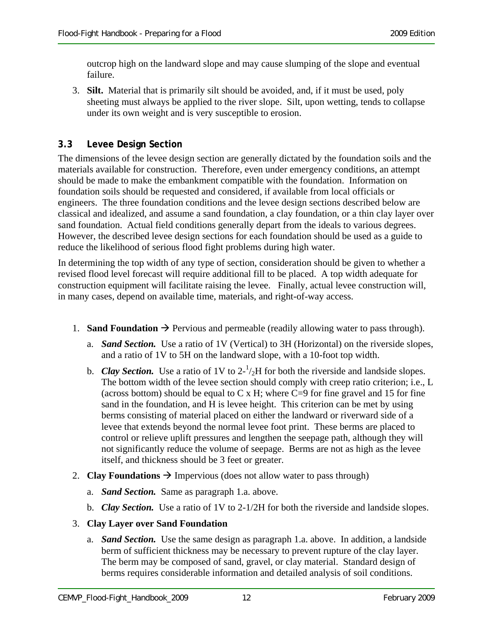outcrop high on the landward slope and may cause slumping of the slope and eventual failure.

3. **Silt.** Material that is primarily silt should be avoided, and, if it must be used, poly sheeting must always be applied to the river slope. Silt, upon wetting, tends to collapse under its own weight and is very susceptible to erosion.

#### **3.3 Levee Design Section**

The dimensions of the levee design section are generally dictated by the foundation soils and the materials available for construction. Therefore, even under emergency conditions, an attempt should be made to make the embankment compatible with the foundation. Information on foundation soils should be requested and considered, if available from local officials or engineers. The three foundation conditions and the levee design sections described below are classical and idealized, and assume a sand foundation, a clay foundation, or a thin clay layer over sand foundation. Actual field conditions generally depart from the ideals to various degrees. However, the described levee design sections for each foundation should be used as a guide to reduce the likelihood of serious flood fight problems during high water.

In determining the top width of any type of section, consideration should be given to whether a revised flood level forecast will require additional fill to be placed. A top width adequate for construction equipment will facilitate raising the levee. Finally, actual levee construction will, in many cases, depend on available time, materials, and right-of-way access.

- 1. **Sand Foundation**  $\rightarrow$  Pervious and permeable (readily allowing water to pass through).
	- a. *Sand Section.* Use a ratio of 1V (Vertical) to 3H (Horizontal) on the riverside slopes, and a ratio of 1V to 5H on the landward slope, with a 10-foot top width.
	- b. *Clay Section*. Use a ratio of 1V to  $2^{-1}/2H$  for both the riverside and landside slopes. The bottom width of the levee section should comply with creep ratio criterion; i.e., L (across bottom) should be equal to  $C \times H$ ; where  $C=9$  for fine gravel and 15 for fine sand in the foundation, and H is levee height. This criterion can be met by using berms consisting of material placed on either the landward or riverward side of a levee that extends beyond the normal levee foot print. These berms are placed to control or relieve uplift pressures and lengthen the seepage path, although they will not significantly reduce the volume of seepage. Berms are not as high as the levee itself, and thickness should be 3 feet or greater.
- 2. **Clay Foundations**  $\rightarrow$  Impervious (does not allow water to pass through)
	- a. *Sand Section.* Same as paragraph 1.a. above.
	- b. *Clay Section.* Use a ratio of 1V to 2-1/2H for both the riverside and landside slopes.

#### 3. **Clay Layer over Sand Foundation**

a. *Sand Section.* Use the same design as paragraph 1.a. above. In addition, a landside berm of sufficient thickness may be necessary to prevent rupture of the clay layer. The berm may be composed of sand, gravel, or clay material. Standard design of berms requires considerable information and detailed analysis of soil conditions.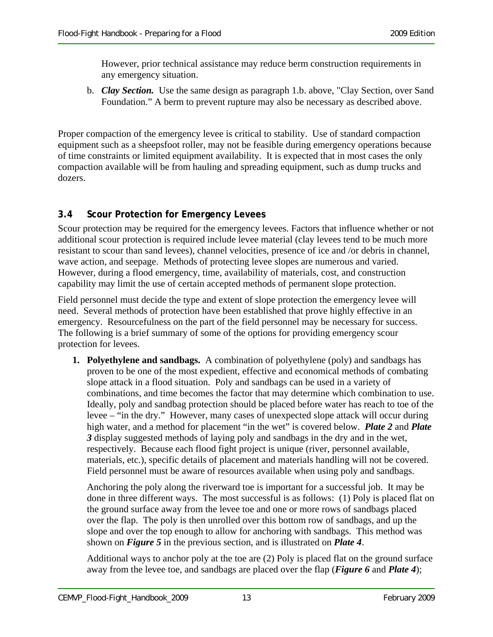However, prior technical assistance may reduce berm construction requirements in any emergency situation.

b. *Clay Section.* Use the same design as paragraph 1.b. above, "Clay Section, over Sand Foundation." A berm to prevent rupture may also be necessary as described above.

Proper compaction of the emergency levee is critical to stability. Use of standard compaction equipment such as a sheepsfoot roller, may not be feasible during emergency operations because of time constraints or limited equipment availability. It is expected that in most cases the only compaction available will be from hauling and spreading equipment, such as dump trucks and dozers.

#### **3.4 Scour Protection for Emergency Levees**

Scour protection may be required for the emergency levees. Factors that influence whether or not additional scour protection is required include levee material (clay levees tend to be much more resistant to scour than sand levees), channel velocities, presence of ice and /or debris in channel, wave action, and seepage. Methods of protecting levee slopes are numerous and varied. However, during a flood emergency, time, availability of materials, cost, and construction capability may limit the use of certain accepted methods of permanent slope protection.

Field personnel must decide the type and extent of slope protection the emergency levee will need. Several methods of protection have been established that prove highly effective in an emergency. Resourcefulness on the part of the field personnel may be necessary for success. The following is a brief summary of some of the options for providing emergency scour protection for levees.

**1. Polyethylene and sandbags.** A combination of polyethylene (poly) and sandbags has proven to be one of the most expedient, effective and economical methods of combating slope attack in a flood situation. Poly and sandbags can be used in a variety of combinations, and time becomes the factor that may determine which combination to use. Ideally, poly and sandbag protection should be placed before water has reach to toe of the levee – "in the dry." However, many cases of unexpected slope attack will occur during high water, and a method for placement "in the wet" is covered below. *Plate 2* and *Plate 3* display suggested methods of laying poly and sandbags in the dry and in the wet, respectively. Because each flood fight project is unique (river, personnel available, materials, etc.), specific details of placement and materials handling will not be covered. Field personnel must be aware of resources available when using poly and sandbags.

Anchoring the poly along the riverward toe is important for a successful job. It may be done in three different ways. The most successful is as follows: (1) Poly is placed flat on the ground surface away from the levee toe and one or more rows of sandbags placed over the flap. The poly is then unrolled over this bottom row of sandbags, and up the slope and over the top enough to allow for anchoring with sandbags. This method was shown on *Figure 5* in the previous section, and is illustrated on *Plate 4*.

Additional ways to anchor poly at the toe are (2) Poly is placed flat on the ground surface away from the levee toe, and sandbags are placed over the flap (*Figure 6* and *Plate 4*);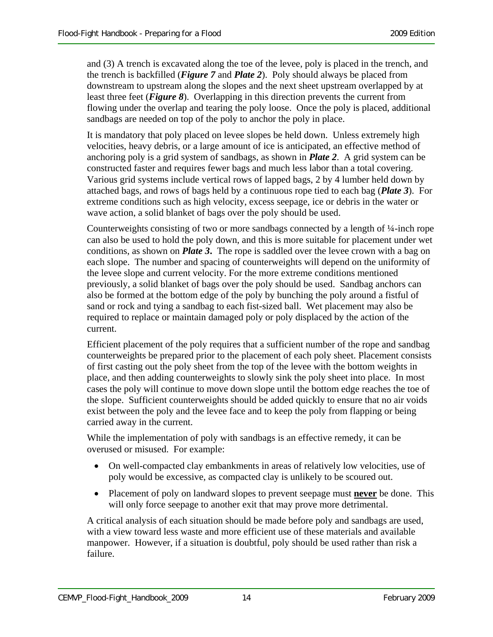and (3) A trench is excavated along the toe of the levee, poly is placed in the trench, and the trench is backfilled (*Figure 7* and *Plate 2*). Poly should always be placed from downstream to upstream along the slopes and the next sheet upstream overlapped by at least three feet (*Figure 8*). Overlapping in this direction prevents the current from flowing under the overlap and tearing the poly loose. Once the poly is placed, additional sandbags are needed on top of the poly to anchor the poly in place.

It is mandatory that poly placed on levee slopes be held down. Unless extremely high velocities, heavy debris, or a large amount of ice is anticipated, an effective method of anchoring poly is a grid system of sandbags, as shown in *Plate 2*. A grid system can be constructed faster and requires fewer bags and much less labor than a total covering. Various grid systems include vertical rows of lapped bags, 2 by 4 lumber held down by attached bags, and rows of bags held by a continuous rope tied to each bag (*Plate 3*). For extreme conditions such as high velocity, excess seepage, ice or debris in the water or wave action, a solid blanket of bags over the poly should be used.

Counterweights consisting of two or more sandbags connected by a length of ¼-inch rope can also be used to hold the poly down, and this is more suitable for placement under wet conditions, as shown on *Plate 3***.** The rope is saddled over the levee crown with a bag on each slope. The number and spacing of counterweights will depend on the uniformity of the levee slope and current velocity. For the more extreme conditions mentioned previously, a solid blanket of bags over the poly should be used. Sandbag anchors can also be formed at the bottom edge of the poly by bunching the poly around a fistful of sand or rock and tying a sandbag to each fist-sized ball. Wet placement may also be required to replace or maintain damaged poly or poly displaced by the action of the current.

Efficient placement of the poly requires that a sufficient number of the rope and sandbag counterweights be prepared prior to the placement of each poly sheet. Placement consists of first casting out the poly sheet from the top of the levee with the bottom weights in place, and then adding counterweights to slowly sink the poly sheet into place. In most cases the poly will continue to move down slope until the bottom edge reaches the toe of the slope. Sufficient counterweights should be added quickly to ensure that no air voids exist between the poly and the levee face and to keep the poly from flapping or being carried away in the current.

While the implementation of poly with sandbags is an effective remedy, it can be overused or misused. For example:

- On well-compacted clay embankments in areas of relatively low velocities, use of poly would be excessive, as compacted clay is unlikely to be scoured out.
- Placement of poly on landward slopes to prevent seepage must **never** be done. This will only force seepage to another exit that may prove more detrimental.

A critical analysis of each situation should be made before poly and sandbags are used, with a view toward less waste and more efficient use of these materials and available manpower. However, if a situation is doubtful, poly should be used rather than risk a failure.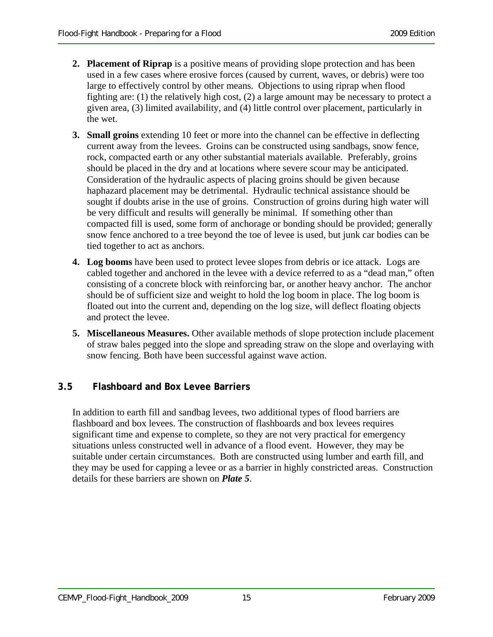- **2. Placement of Riprap** is a positive means of providing slope protection and has been used in a few cases where erosive forces (caused by current, waves, or debris) were too large to effectively control by other means. Objections to using riprap when flood fighting are: (1) the relatively high cost, (2) a large amount may be necessary to protect a given area, (3) limited availability, and (4) little control over placement, particularly in the wet.
- **3. Small groins** extending 10 feet or more into the channel can be effective in deflecting current away from the levees. Groins can be constructed using sandbags, snow fence, rock, compacted earth or any other substantial materials available. Preferably, groins should be placed in the dry and at locations where severe scour may be anticipated. Consideration of the hydraulic aspects of placing groins should be given because haphazard placement may be detrimental. Hydraulic technical assistance should be sought if doubts arise in the use of groins. Construction of groins during high water will be very difficult and results will generally be minimal. If something other than compacted fill is used, some form of anchorage or bonding should be provided; generally snow fence anchored to a tree beyond the toe of levee is used, but junk car bodies can be tied together to act as anchors.
- **4. Log booms** have been used to protect levee slopes from debris or ice attack. Logs are cabled together and anchored in the levee with a device referred to as a "dead man," often consisting of a concrete block with reinforcing bar, or another heavy anchor. The anchor should be of sufficient size and weight to hold the log boom in place. The log boom is floated out into the current and, depending on the log size, will deflect floating objects and protect the levee.
- **5. Miscellaneous Measures.** Other available methods of slope protection include placement of straw bales pegged into the slope and spreading straw on the slope and overlaying with snow fencing. Both have been successful against wave action.

#### **3.5 Flashboard and Box Levee Barriers**

In addition to earth fill and sandbag levees, two additional types of flood barriers are flashboard and box levees. The construction of flashboards and box levees requires significant time and expense to complete, so they are not very practical for emergency situations unless constructed well in advance of a flood event. However, they may be suitable under certain circumstances. Both are constructed using lumber and earth fill, and they may be used for capping a levee or as a barrier in highly constricted areas. Construction details for these barriers are shown on *Plate 5*.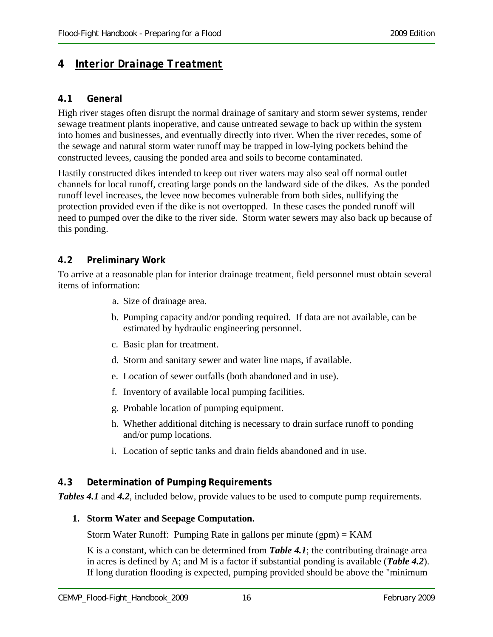#### **4** *Interior Drainage Treatment*

#### **4.1 General**

High river stages often disrupt the normal drainage of sanitary and storm sewer systems, render sewage treatment plants inoperative, and cause untreated sewage to back up within the system into homes and businesses, and eventually directly into river. When the river recedes, some of the sewage and natural storm water runoff may be trapped in low-lying pockets behind the constructed levees, causing the ponded area and soils to become contaminated.

Hastily constructed dikes intended to keep out river waters may also seal off normal outlet channels for local runoff, creating large ponds on the landward side of the dikes. As the ponded runoff level increases, the levee now becomes vulnerable from both sides, nullifying the protection provided even if the dike is not overtopped. In these cases the ponded runoff will need to pumped over the dike to the river side. Storm water sewers may also back up because of this ponding.

#### **4.2 Preliminary Work**

To arrive at a reasonable plan for interior drainage treatment, field personnel must obtain several items of information:

- a. Size of drainage area.
- b. Pumping capacity and/or ponding required. If data are not available, can be estimated by hydraulic engineering personnel.
- c. Basic plan for treatment.
- d. Storm and sanitary sewer and water line maps, if available.
- e. Location of sewer outfalls (both abandoned and in use).
- f. Inventory of available local pumping facilities.
- g. Probable location of pumping equipment.
- h. Whether additional ditching is necessary to drain surface runoff to ponding and/or pump locations.
- i. Location of septic tanks and drain fields abandoned and in use.

#### **4.3 Determination of Pumping Requirements**

*Tables 4.1* and *4.2*, included below, provide values to be used to compute pump requirements.

#### **1. Storm Water and Seepage Computation.**

Storm Water Runoff: Pumping Rate in gallons per minute (gpm) = KAM

K is a constant, which can be determined from *Table 4.1*; the contributing drainage area in acres is defined by A; and M is a factor if substantial ponding is available (*Table 4.2*). If long duration flooding is expected, pumping provided should be above the "minimum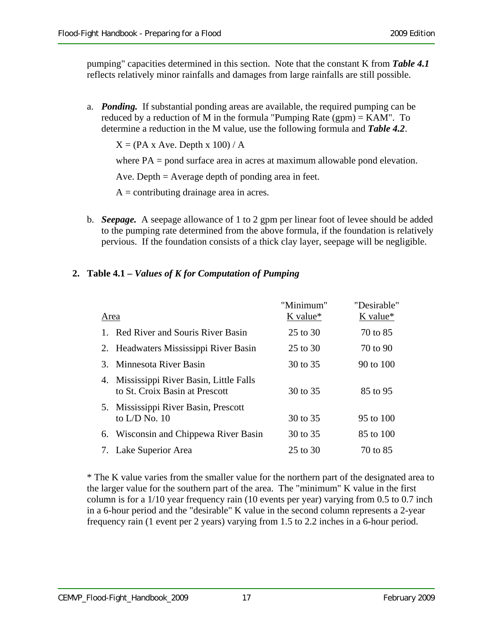pumping" capacities determined in this section. Note that the constant K from *Table 4.1* reflects relatively minor rainfalls and damages from large rainfalls are still possible.

a. *Ponding.* If substantial ponding areas are available, the required pumping can be reduced by a reduction of M in the formula "Pumping Rate (gpm) = KAM". To determine a reduction in the M value, use the following formula and *Table 4.2*.

 $X = (PA \times Ave)$ . Depth  $x 100$  / A

where PA = pond surface area in acres at maximum allowable pond elevation.

Ave. Depth = Average depth of ponding area in feet.

 $A =$ contributing drainage area in acres.

b. *Seepage.* A seepage allowance of 1 to 2 gpm per linear foot of levee should be added to the pumping rate determined from the above formula, if the foundation is relatively pervious. If the foundation consists of a thick clay layer, seepage will be negligible.

#### **2. Table 4.1 –** *Values of K for Computation of Pumping*

|         | Area                                                                       | "Minimum"<br>$K$ value* | "Desirable"<br>K value* |
|---------|----------------------------------------------------------------------------|-------------------------|-------------------------|
| $1_{-}$ | Red River and Souris River Basin                                           | 25 to 30                | 70 to 85                |
|         | 2. Headwaters Mississippi River Basin                                      | 25 to 30                | 70 to 90                |
|         | 3. Minnesota River Basin                                                   | 30 to 35                | 90 to 100               |
|         | 4. Mississippi River Basin, Little Falls<br>to St. Croix Basin at Prescott | 30 to 35                | 85 to 95                |
|         | 5. Mississippi River Basin, Prescott<br>to $L/D$ No. 10                    | 30 to 35                | 95 to 100               |
|         | 6. Wisconsin and Chippewa River Basin                                      | 30 to 35                | 85 to 100               |
|         | 7. Lake Superior Area                                                      | 25 to 30                | 70 to 85                |

\* The K value varies from the smaller value for the northern part of the designated area to the larger value for the southern part of the area. The "minimum" K value in the first column is for a 1/10 year frequency rain (10 events per year) varying from 0.5 to 0.7 inch in a 6-hour period and the "desirable" K value in the second column represents a 2-year frequency rain (1 event per 2 years) varying from 1.5 to 2.2 inches in a 6-hour period.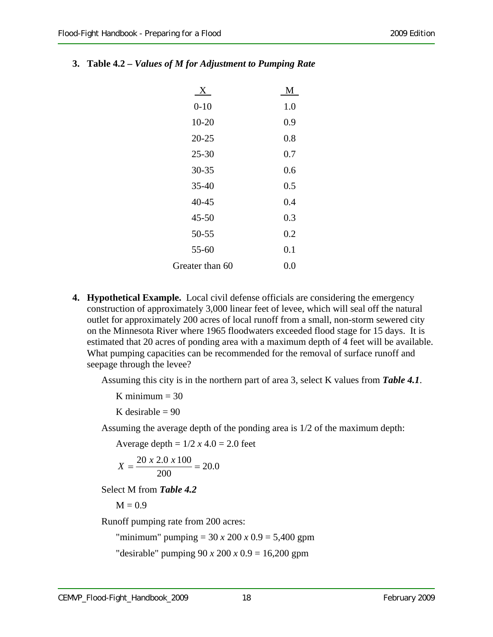| $\mathbf{X}$ | M   |
|--------------|-----|
| $0 - 10$     | 1.0 |
| $10 - 20$    | 0.9 |
| $20 - 25$    | 0.8 |
| $25 - 30$    | 0.7 |
| 30-35        | 0.6 |
| $35 - 40$    | 0.5 |

#### **3. Table 4.2 –** *Values of M for Adjustment to Pumping Rate*

 40-45 0.4 45-50 0.3 50-55 0.2 55-60 0.1

| <b>4. Hypothetical Example.</b> Local civil defense officials are considering the emergency |
|---------------------------------------------------------------------------------------------|
| construction of approximately 3,000 linear feet of levee, which will seal off the natural   |
| outlet for approximately 200 acres of local runoff from a small, non-storm sewered city     |
| on the Minnesota River where 1965 floodwaters exceeded flood stage for 15 days. It is       |
| estimated that 20 acres of ponding area with a maximum depth of 4 feet will be available.   |
| What pumping capacities can be recommended for the removal of surface runoff and            |
| seepage through the levee?                                                                  |

Greater than 60 0.0

Assuming this city is in the northern part of area 3, select K values from *Table 4.1*.

K minimum  $= 30$ 

K desirable  $= 90$ 

Assuming the average depth of the ponding area is 1/2 of the maximum depth:

Average depth =  $1/2 x 4.0 = 2.0$  feet

$$
X = \frac{20 \times 2.0 \times 100}{200} = 20.0
$$

Select M from *Table 4.2*

 $M = 0.9$ 

Runoff pumping rate from 200 acres:

"minimum" pumping = 30 *x* 200 *x* 0.9 = 5,400 gpm

"desirable" pumping 90 *x* 200 *x* 0.9 = 16,200 gpm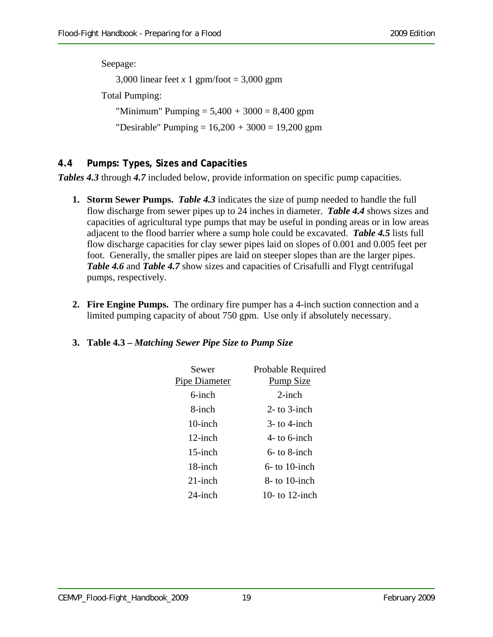Seepage: 3,000 linear feet *x* 1 gpm/foot = 3,000 gpm Total Pumping: "Minimum" Pumping = 5,400 *+* 3000 = 8,400 gpm "Desirable" Pumping = 16,200 *+* 3000 = 19,200 gpm

#### **4.4 Pumps: Types, Sizes and Capacities**

*Tables 4.3* through *4.7* included below, provide information on specific pump capacities.

- **1. Storm Sewer Pumps.** *Table 4.3* indicates the size of pump needed to handle the full flow discharge from sewer pipes up to 24 inches in diameter. *Table 4.4* shows sizes and capacities of agricultural type pumps that may be useful in ponding areas or in low areas adjacent to the flood barrier where a sump hole could be excavated. *Table 4.5* lists full flow discharge capacities for clay sewer pipes laid on slopes of 0.001 and 0.005 feet per foot. Generally, the smaller pipes are laid on steeper slopes than are the larger pipes. *Table 4.6* and *Table 4.7* show sizes and capacities of Crisafulli and Flygt centrifugal pumps, respectively.
- **2. Fire Engine Pumps.** The ordinary fire pumper has a 4-inch suction connection and a limited pumping capacity of about 750 gpm. Use only if absolutely necessary.

#### **3. Table 4.3 –** *Matching Sewer Pipe Size to Pump Size*

| Sewer<br><b>Pipe Diameter</b> | Probable Required<br><b>Pump Size</b> |
|-------------------------------|---------------------------------------|
| $6$ -inch                     | $2$ -inch                             |
| 8-inch                        | $2-$ to $3$ -inch                     |
| $10$ -inch                    | $3-$ to 4-inch                        |
| $12$ -inch                    | $4-$ to 6-inch                        |
| $15$ -inch                    | $6-$ to 8-inch                        |
| 18-inch                       | $6-$ to 10-inch                       |
| $21$ -inch                    | $8-$ to 10-inch                       |
| $24$ -inch                    | 10- to 12-inch                        |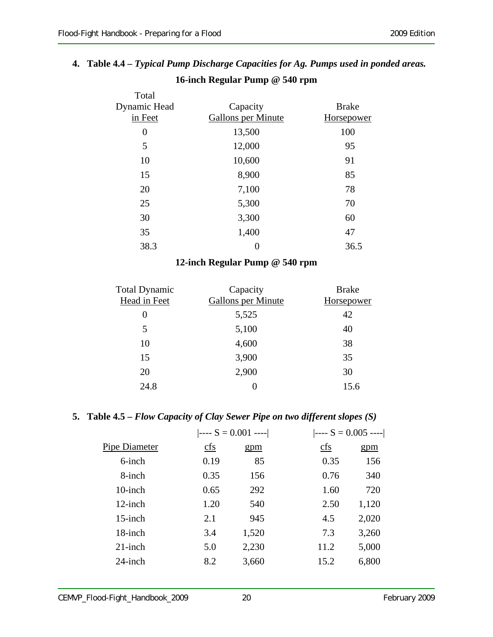# **4. Table 4.4 –** *Typical Pump Discharge Capacities for Ag. Pumps used in ponded areas.*

| Total<br>Dynamic Head<br>in Feet | Capacity<br><b>Gallons per Minute</b> | <b>Brake</b><br><b>Horsepower</b> |
|----------------------------------|---------------------------------------|-----------------------------------|
| $\boldsymbol{0}$                 | 13,500                                | 100                               |
| 5                                | 12,000                                | 95                                |
| 10                               | 10,600                                | 91                                |
| 15                               | 8,900                                 | 85                                |
| 20                               | 7,100                                 | 78                                |
| 25                               | 5,300                                 | 70                                |
| 30                               | 3,300                                 | 60                                |
| 35                               | 1,400                                 | 47                                |
| 38.3                             | $\boldsymbol{0}$                      | 36.5                              |

### **16-inch Regular Pump @ 540 rpm**

#### **12-inch Regular Pump @ 540 rpm**

| <b>Total Dynamic</b><br>Head in Feet | Capacity<br><b>Gallons per Minute</b> | <b>Brake</b><br><b>Horsepower</b> |
|--------------------------------------|---------------------------------------|-----------------------------------|
| $\theta$                             | 5,525                                 | 42                                |
| 5                                    | 5,100                                 | 40                                |
| 10                                   | 4,600                                 | 38                                |
| 15                                   | 3,900                                 | 35                                |
| 20                                   | 2,900                                 | 30                                |
| 24.8                                 | 0                                     | 15.6                              |

#### **5. Table 4.5 –** *Flow Capacity of Clay Sewer Pipe on two different slopes (S)*

|                                 |       | $\left  \begin{array}{cc} - - - S = 0.005 & - - - \end{array} \right $ |       |
|---------------------------------|-------|------------------------------------------------------------------------|-------|
| $\frac{\text{cfs}}{\text{cfs}}$ | gpm   | cfs                                                                    | gpm   |
| 0.19                            | 85    | 0.35                                                                   | 156   |
| 0.35                            | 156   | 0.76                                                                   | 340   |
| 0.65                            | 292   | 1.60                                                                   | 720   |
| 1.20                            | 540   | 2.50                                                                   | 1,120 |
| 2.1                             | 945   | 4.5                                                                    | 2,020 |
| 3.4                             | 1,520 | 7.3                                                                    | 3,260 |
| 5.0                             | 2,230 | 11.2                                                                   | 5,000 |
| 8.2                             | 3,660 | 15.2                                                                   | 6,800 |
|                                 |       | $\left  \begin{array}{cc} - - - S = 0.001 - - - \end{array} \right $   |       |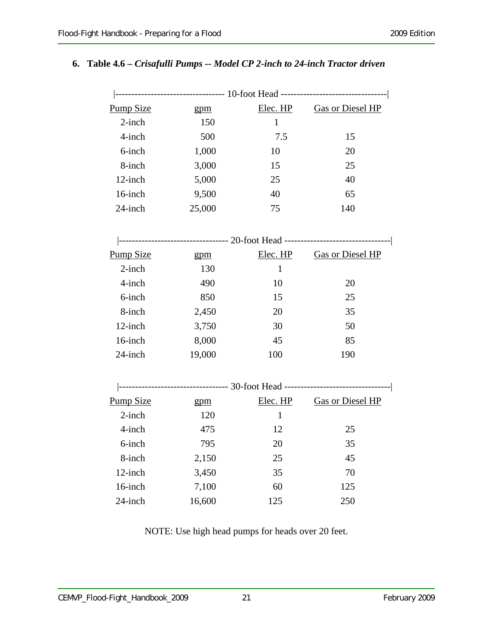#### **6. Table 4.6 –** *Crisafulli Pumps -- Model CP 2-inch to 24-inch Tractor driven*

| <b>Pump Size</b> | gpm    |              | Elec. HP Gas or Diesel HP                                                       |
|------------------|--------|--------------|---------------------------------------------------------------------------------|
| $2$ -inch        | 150    | $\mathbf{1}$ |                                                                                 |
| 4-inch           | 500    | 7.5          | 15                                                                              |
| 6-inch           | 1,000  | 10           | 20                                                                              |
| 8-inch           | 3,000  | 15           | 25                                                                              |
| 12-inch          | 5,000  | 25           | 40                                                                              |
| 16-inch          | 9,500  | 40           | 65                                                                              |
| $24$ -inch       | 25,000 | 75           | 140                                                                             |
|                  |        |              |                                                                                 |
|                  |        |              | --------------------------------- 20-foot Head -------------------------------- |
| <b>Pump Size</b> | gpm    | Elec. HP     | <b>Gas or Diesel HP</b>                                                         |
| $2$ -inch        | 130    | $\mathbf{1}$ |                                                                                 |
| 4-inch           | 490    | 10           | 20                                                                              |
| 6-inch           | 850    | 15           | 25                                                                              |
| 8-inch           | 2,450  | 20           | 35                                                                              |
| 12-inch          | 3,750  | 30           | 50                                                                              |
| 16-inch          | 8,000  | 45           | 85                                                                              |
| 24-inch          | 19,000 | 100          | 190                                                                             |
|                  |        |              |                                                                                 |
|                  |        |              | --------------------------------- 30-foot Head -------------------------------- |
| <b>Pump Size</b> | gpm    | Elec. HP     | <b>Gas or Diesel HP</b>                                                         |
| $2$ -inch        | 120    | $\mathbf{1}$ |                                                                                 |
| 4-inch           | 475    | 12           | 25                                                                              |
| 6-inch           | 795    | 20           | 35                                                                              |
| 8-inch           | 2,150  | 25           | 45                                                                              |
| 12-inch          | 3,450  | 35           | 70                                                                              |
| 16-inch          | 7,100  | 60           | 125                                                                             |
| 24-inch          | 16,600 | 125          | 250                                                                             |

NOTE: Use high head pumps for heads over 20 feet.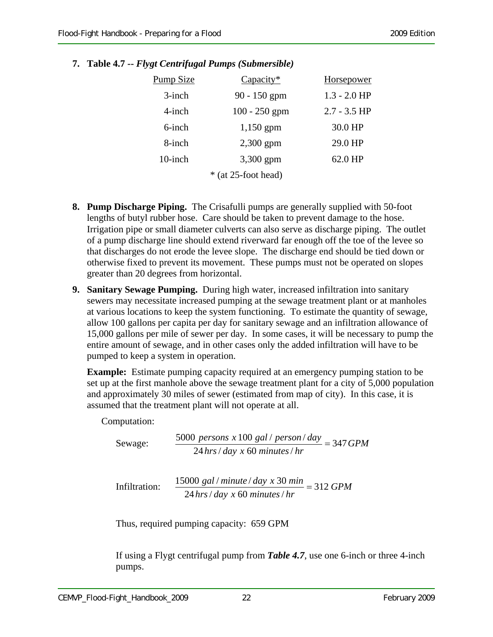| Pump Size | $Capacity*$           | Horsepower     |
|-----------|-----------------------|----------------|
| $3$ -inch | $90 - 150$ gpm        | $1.3 - 2.0$ HP |
| $4$ -inch | $100 - 250$ gpm       | $2.7 - 3.5$ HP |
| 6-inch    | $1,150$ gpm           | 30.0 HP        |
| 8-inch    | $2,300$ gpm           | 29.0 HP        |
| 10-inch   | 3,300 gpm             | 62.0 HP        |
|           | $*$ (at 25-foot head) |                |

**7. Table 4.7 --** *Flygt Centrifugal Pumps (Submersible)*

- **8. Pump Discharge Piping.** The Crisafulli pumps are generally supplied with 50-foot lengths of butyl rubber hose. Care should be taken to prevent damage to the hose. Irrigation pipe or small diameter culverts can also serve as discharge piping. The outlet of a pump discharge line should extend riverward far enough off the toe of the levee so that discharges do not erode the levee slope. The discharge end should be tied down or otherwise fixed to prevent its movement. These pumps must not be operated on slopes greater than 20 degrees from horizontal.
- **9. Sanitary Sewage Pumping.** During high water, increased infiltration into sanitary sewers may necessitate increased pumping at the sewage treatment plant or at manholes at various locations to keep the system functioning. To estimate the quantity of sewage, allow 100 gallons per capita per day for sanitary sewage and an infiltration allowance of 15,000 gallons per mile of sewer per day. In some cases, it will be necessary to pump the entire amount of sewage, and in other cases only the added infiltration will have to be pumped to keep a system in operation.

**Example:** Estimate pumping capacity required at an emergency pumping station to be set up at the first manhole above the sewage treatment plant for a city of 5,000 population and approximately 30 miles of sewer (estimated from map of city). In this case, it is assumed that the treatment plant will not operate at all.

Computation:

$$
Sewage: \frac{5000 \text{ persons } x100 \text{ gal} / \text{person} / day}{24 \text{ hrs} / day \text{ x } 60 \text{ minutes} / hr} = 347 \text{GPM}
$$

Infiltration:  $\frac{15000 \text{ gal/min} \cdot \text{m} \cdot \text{m}}{244 \text{ J} \cdot \text{m} \cdot \text{m}} = 312 \text{ GPM}$ *hrs day x minutes hr* 24 / 60 /

Thus, required pumping capacity: 659 GPM

If using a Flygt centrifugal pump from *Table 4.7*, use one 6-inch or three 4-inch pumps.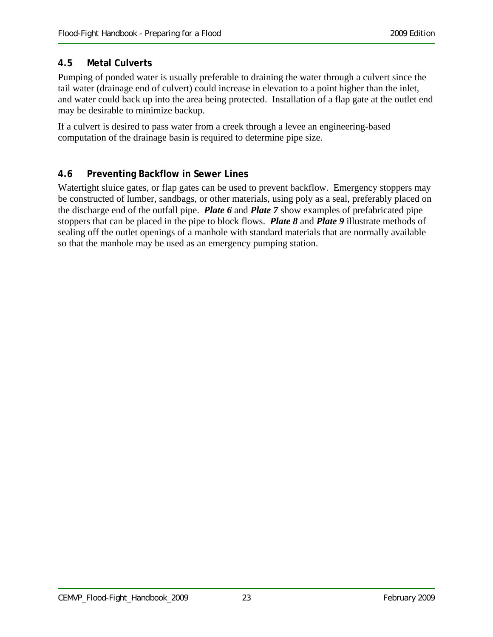#### **4.5 Metal Culverts**

Pumping of ponded water is usually preferable to draining the water through a culvert since the tail water (drainage end of culvert) could increase in elevation to a point higher than the inlet, and water could back up into the area being protected. Installation of a flap gate at the outlet end may be desirable to minimize backup.

If a culvert is desired to pass water from a creek through a levee an engineering-based computation of the drainage basin is required to determine pipe size.

#### **4.6 Preventing Backflow in Sewer Lines**

Watertight sluice gates, or flap gates can be used to prevent backflow. Emergency stoppers may be constructed of lumber, sandbags, or other materials, using poly as a seal, preferably placed on the discharge end of the outfall pipe. *Plate 6* and *Plate 7* show examples of prefabricated pipe stoppers that can be placed in the pipe to block flows. *Plate 8* and *Plate 9* illustrate methods of sealing off the outlet openings of a manhole with standard materials that are normally available so that the manhole may be used as an emergency pumping station.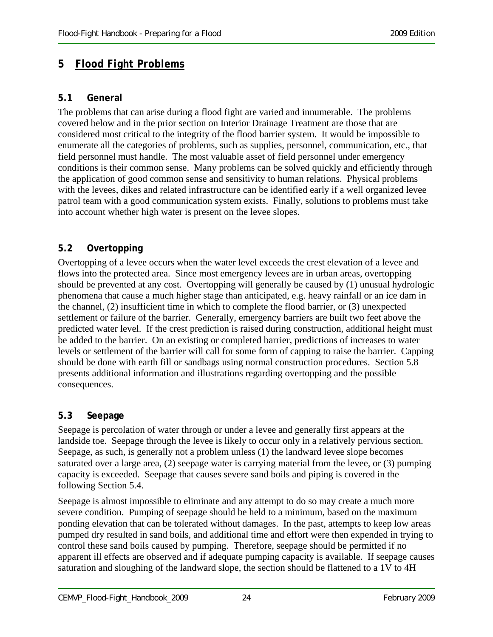## **5** *Flood Fight Problems*

#### **5.1 General**

The problems that can arise during a flood fight are varied and innumerable. The problems covered below and in the prior section on Interior Drainage Treatment are those that are considered most critical to the integrity of the flood barrier system. It would be impossible to enumerate all the categories of problems, such as supplies, personnel, communication, etc., that field personnel must handle. The most valuable asset of field personnel under emergency conditions is their common sense. Many problems can be solved quickly and efficiently through the application of good common sense and sensitivity to human relations. Physical problems with the levees, dikes and related infrastructure can be identified early if a well organized levee patrol team with a good communication system exists. Finally, solutions to problems must take into account whether high water is present on the levee slopes.

#### **5.2 Overtopping**

Overtopping of a levee occurs when the water level exceeds the crest elevation of a levee and flows into the protected area. Since most emergency levees are in urban areas, overtopping should be prevented at any cost. Overtopping will generally be caused by (1) unusual hydrologic phenomena that cause a much higher stage than anticipated, e.g. heavy rainfall or an ice dam in the channel, (2) insufficient time in which to complete the flood barrier, or (3) unexpected settlement or failure of the barrier. Generally, emergency barriers are built two feet above the predicted water level. If the crest prediction is raised during construction, additional height must be added to the barrier. On an existing or completed barrier, predictions of increases to water levels or settlement of the barrier will call for some form of capping to raise the barrier. Capping should be done with earth fill or sandbags using normal construction procedures. Section 5.8 presents additional information and illustrations regarding overtopping and the possible consequences.

#### **5.3 Seepage**

Seepage is percolation of water through or under a levee and generally first appears at the landside toe. Seepage through the levee is likely to occur only in a relatively pervious section. Seepage, as such, is generally not a problem unless (1) the landward levee slope becomes saturated over a large area, (2) seepage water is carrying material from the levee, or (3) pumping capacity is exceeded. Seepage that causes severe sand boils and piping is covered in the following Section 5.4.

Seepage is almost impossible to eliminate and any attempt to do so may create a much more severe condition. Pumping of seepage should be held to a minimum, based on the maximum ponding elevation that can be tolerated without damages. In the past, attempts to keep low areas pumped dry resulted in sand boils, and additional time and effort were then expended in trying to control these sand boils caused by pumping. Therefore, seepage should be permitted if no apparent ill effects are observed and if adequate pumping capacity is available. If seepage causes saturation and sloughing of the landward slope, the section should be flattened to a 1V to 4H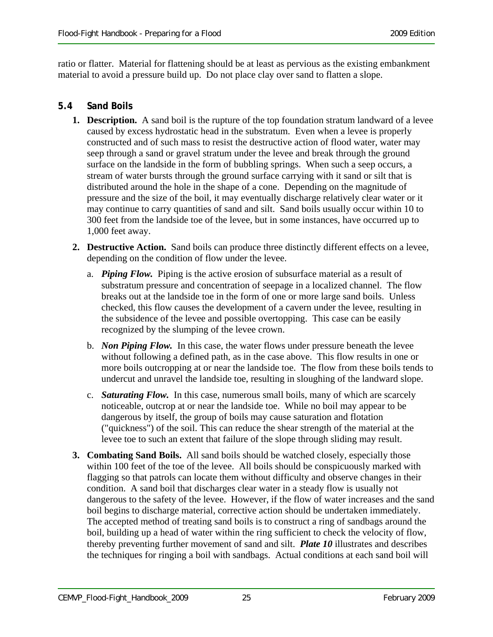ratio or flatter. Material for flattening should be at least as pervious as the existing embankment material to avoid a pressure build up. Do not place clay over sand to flatten a slope.

#### **5.4 Sand Boils**

- **1. Description.** A sand boil is the rupture of the top foundation stratum landward of a levee caused by excess hydrostatic head in the substratum. Even when a levee is properly constructed and of such mass to resist the destructive action of flood water, water may seep through a sand or gravel stratum under the levee and break through the ground surface on the landside in the form of bubbling springs. When such a seep occurs, a stream of water bursts through the ground surface carrying with it sand or silt that is distributed around the hole in the shape of a cone. Depending on the magnitude of pressure and the size of the boil, it may eventually discharge relatively clear water or it may continue to carry quantities of sand and silt. Sand boils usually occur within 10 to 300 feet from the landside toe of the levee, but in some instances, have occurred up to 1,000 feet away.
- **2. Destructive Action.** Sand boils can produce three distinctly different effects on a levee, depending on the condition of flow under the levee.
	- a. *Piping Flow.* Piping is the active erosion of subsurface material as a result of substratum pressure and concentration of seepage in a localized channel. The flow breaks out at the landside toe in the form of one or more large sand boils. Unless checked, this flow causes the development of a cavern under the levee, resulting in the subsidence of the levee and possible overtopping. This case can be easily recognized by the slumping of the levee crown.
	- b. *Non Piping Flow.* In this case, the water flows under pressure beneath the levee without following a defined path, as in the case above. This flow results in one or more boils outcropping at or near the landside toe. The flow from these boils tends to undercut and unravel the landside toe, resulting in sloughing of the landward slope.
	- c. *Saturating Flow.* In this case, numerous small boils, many of which are scarcely noticeable, outcrop at or near the landside toe. While no boil may appear to be dangerous by itself, the group of boils may cause saturation and flotation ("quickness") of the soil. This can reduce the shear strength of the material at the levee toe to such an extent that failure of the slope through sliding may result.
- **3. Combating Sand Boils.** All sand boils should be watched closely, especially those within 100 feet of the toe of the levee. All boils should be conspicuously marked with flagging so that patrols can locate them without difficulty and observe changes in their condition. A sand boil that discharges clear water in a steady flow is usually not dangerous to the safety of the levee. However, if the flow of water increases and the sand boil begins to discharge material, corrective action should be undertaken immediately. The accepted method of treating sand boils is to construct a ring of sandbags around the boil, building up a head of water within the ring sufficient to check the velocity of flow, thereby preventing further movement of sand and silt. *Plate 10* illustrates and describes the techniques for ringing a boil with sandbags. Actual conditions at each sand boil will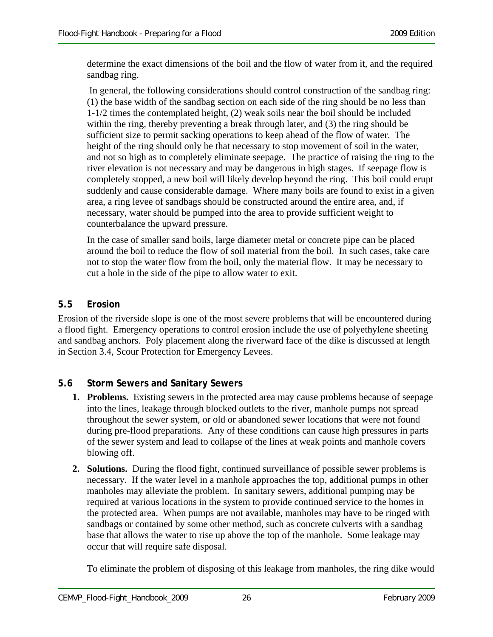determine the exact dimensions of the boil and the flow of water from it, and the required sandbag ring.

 In general, the following considerations should control construction of the sandbag ring: (1) the base width of the sandbag section on each side of the ring should be no less than 1-1/2 times the contemplated height, (2) weak soils near the boil should be included within the ring, thereby preventing a break through later, and (3) the ring should be sufficient size to permit sacking operations to keep ahead of the flow of water. The height of the ring should only be that necessary to stop movement of soil in the water, and not so high as to completely eliminate seepage. The practice of raising the ring to the river elevation is not necessary and may be dangerous in high stages. If seepage flow is completely stopped, a new boil will likely develop beyond the ring. This boil could erupt suddenly and cause considerable damage. Where many boils are found to exist in a given area, a ring levee of sandbags should be constructed around the entire area, and, if necessary, water should be pumped into the area to provide sufficient weight to counterbalance the upward pressure.

In the case of smaller sand boils, large diameter metal or concrete pipe can be placed around the boil to reduce the flow of soil material from the boil. In such cases, take care not to stop the water flow from the boil, only the material flow. It may be necessary to cut a hole in the side of the pipe to allow water to exit.

#### **5.5 Erosion**

Erosion of the riverside slope is one of the most severe problems that will be encountered during a flood fight. Emergency operations to control erosion include the use of polyethylene sheeting and sandbag anchors. Poly placement along the riverward face of the dike is discussed at length in Section 3.4, Scour Protection for Emergency Levees.

#### **5.6 Storm Sewers and Sanitary Sewers**

- **1. Problems.** Existing sewers in the protected area may cause problems because of seepage into the lines, leakage through blocked outlets to the river, manhole pumps not spread throughout the sewer system, or old or abandoned sewer locations that were not found during pre-flood preparations. Any of these conditions can cause high pressures in parts of the sewer system and lead to collapse of the lines at weak points and manhole covers blowing off.
- **2. Solutions.** During the flood fight, continued surveillance of possible sewer problems is necessary. If the water level in a manhole approaches the top, additional pumps in other manholes may alleviate the problem. In sanitary sewers, additional pumping may be required at various locations in the system to provide continued service to the homes in the protected area. When pumps are not available, manholes may have to be ringed with sandbags or contained by some other method, such as concrete culverts with a sandbag base that allows the water to rise up above the top of the manhole. Some leakage may occur that will require safe disposal.

To eliminate the problem of disposing of this leakage from manholes, the ring dike would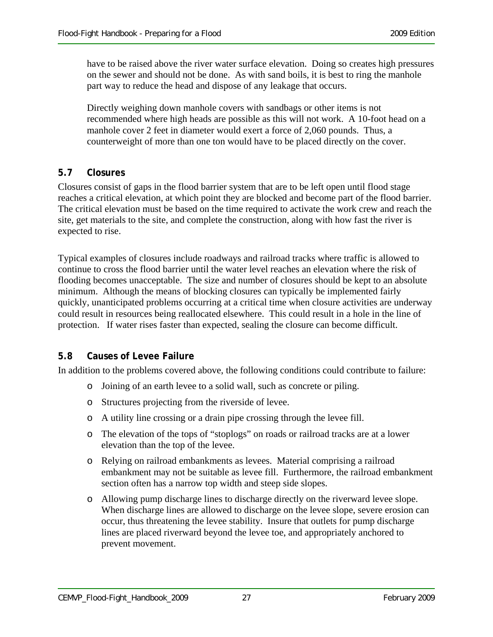have to be raised above the river water surface elevation. Doing so creates high pressures on the sewer and should not be done. As with sand boils, it is best to ring the manhole part way to reduce the head and dispose of any leakage that occurs.

Directly weighing down manhole covers with sandbags or other items is not recommended where high heads are possible as this will not work. A 10-foot head on a manhole cover 2 feet in diameter would exert a force of 2,060 pounds. Thus, a counterweight of more than one ton would have to be placed directly on the cover.

#### **5.7 Closures**

Closures consist of gaps in the flood barrier system that are to be left open until flood stage reaches a critical elevation, at which point they are blocked and become part of the flood barrier. The critical elevation must be based on the time required to activate the work crew and reach the site, get materials to the site, and complete the construction, along with how fast the river is expected to rise.

Typical examples of closures include roadways and railroad tracks where traffic is allowed to continue to cross the flood barrier until the water level reaches an elevation where the risk of flooding becomes unacceptable. The size and number of closures should be kept to an absolute minimum. Although the means of blocking closures can typically be implemented fairly quickly, unanticipated problems occurring at a critical time when closure activities are underway could result in resources being reallocated elsewhere. This could result in a hole in the line of protection. If water rises faster than expected, sealing the closure can become difficult.

#### **5.8 Causes of Levee Failure**

In addition to the problems covered above, the following conditions could contribute to failure:

- o Joining of an earth levee to a solid wall, such as concrete or piling.
- o Structures projecting from the riverside of levee.
- o A utility line crossing or a drain pipe crossing through the levee fill.
- o The elevation of the tops of "stoplogs" on roads or railroad tracks are at a lower elevation than the top of the levee.
- o Relying on railroad embankments as levees. Material comprising a railroad embankment may not be suitable as levee fill. Furthermore, the railroad embankment section often has a narrow top width and steep side slopes.
- o Allowing pump discharge lines to discharge directly on the riverward levee slope. When discharge lines are allowed to discharge on the levee slope, severe erosion can occur, thus threatening the levee stability. Insure that outlets for pump discharge lines are placed riverward beyond the levee toe, and appropriately anchored to prevent movement.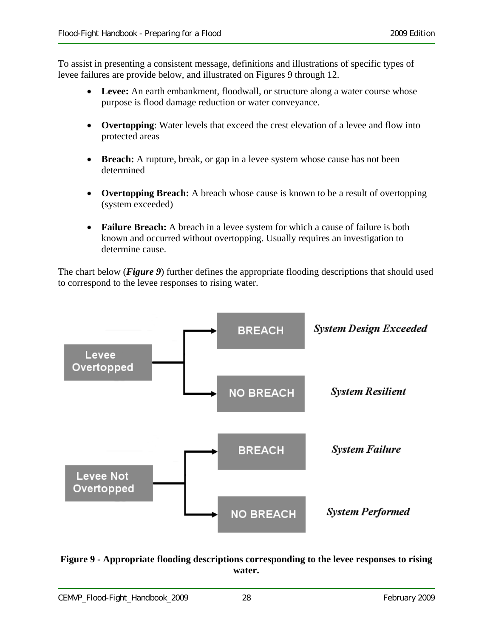To assist in presenting a consistent message, definitions and illustrations of specific types of levee failures are provide below, and illustrated on Figures 9 through 12.

- Levee: An earth embankment, floodwall, or structure along a water course whose purpose is flood damage reduction or water conveyance.
- **Overtopping**: Water levels that exceed the crest elevation of a levee and flow into protected areas
- **Breach:** A rupture, break, or gap in a levee system whose cause has not been determined
- **Overtopping Breach:** A breach whose cause is known to be a result of overtopping (system exceeded)
- **Failure Breach:** A breach in a levee system for which a cause of failure is both known and occurred without overtopping. Usually requires an investigation to determine cause.

The chart below (*Figure 9*) further defines the appropriate flooding descriptions that should used to correspond to the levee responses to rising water.



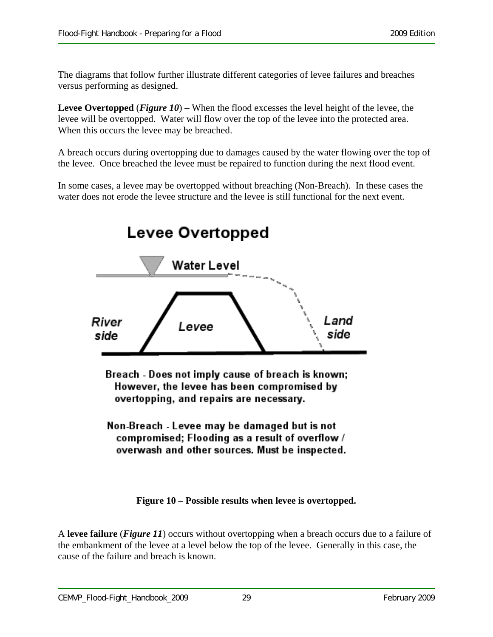The diagrams that follow further illustrate different categories of levee failures and breaches versus performing as designed.

**Levee Overtopped** (*Figure 10*) – When the flood excesses the level height of the levee, the levee will be overtopped. Water will flow over the top of the levee into the protected area. When this occurs the levee may be breached.

A breach occurs during overtopping due to damages caused by the water flowing over the top of the levee. Once breached the levee must be repaired to function during the next flood event.

In some cases, a levee may be overtopped without breaching (Non-Breach). In these cases the water does not erode the levee structure and the levee is still functional for the next event.



Breach - Does not imply cause of breach is known; However, the levee has been compromised by overtopping, and repairs are necessary.

Non-Breach - Levee may be damaged but is not compromised; Flooding as a result of overflow / overwash and other sources. Must be inspected.

**Figure 10 – Possible results when levee is overtopped.** 

A **levee failure** (*Figure 11*) occurs without overtopping when a breach occurs due to a failure of the embankment of the levee at a level below the top of the levee. Generally in this case, the cause of the failure and breach is known.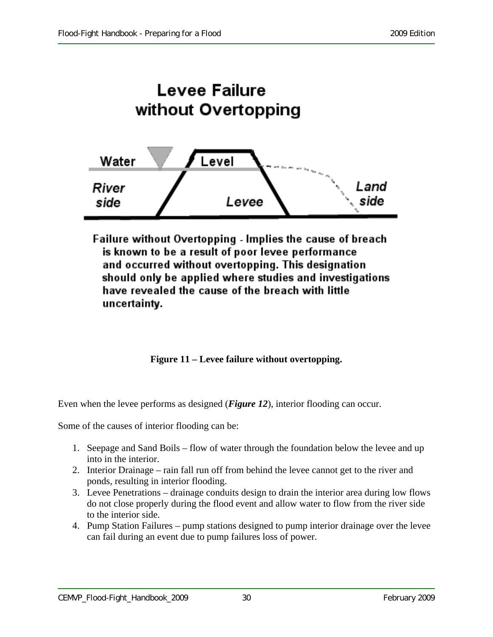

Failure without Overtopping - Implies the cause of breach is known to be a result of poor levee performance and occurred without overtopping. This designation should only be applied where studies and investigations have revealed the cause of the breach with little uncertainty.

**Figure 11 – Levee failure without overtopping.** 

Even when the levee performs as designed (*Figure 12*), interior flooding can occur.

Some of the causes of interior flooding can be:

- 1. Seepage and Sand Boils flow of water through the foundation below the levee and up into in the interior.
- 2. Interior Drainage rain fall run off from behind the levee cannot get to the river and ponds, resulting in interior flooding.
- 3. Levee Penetrations drainage conduits design to drain the interior area during low flows do not close properly during the flood event and allow water to flow from the river side to the interior side.
- 4. Pump Station Failures pump stations designed to pump interior drainage over the levee can fail during an event due to pump failures loss of power.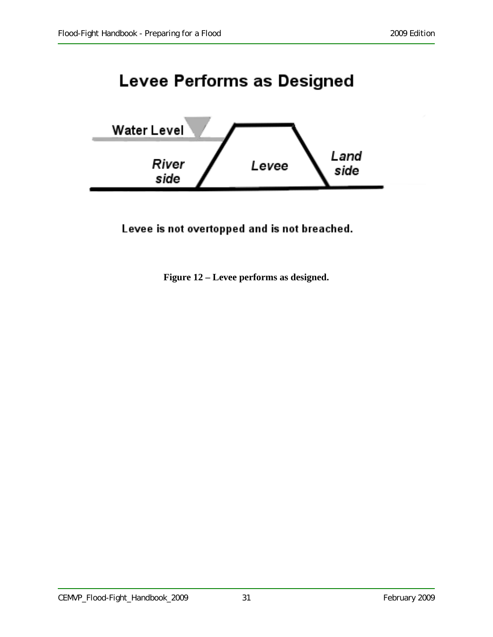## **Levee Performs as Designed**



Levee is not overtopped and is not breached.

**Figure 12 – Levee performs as designed.**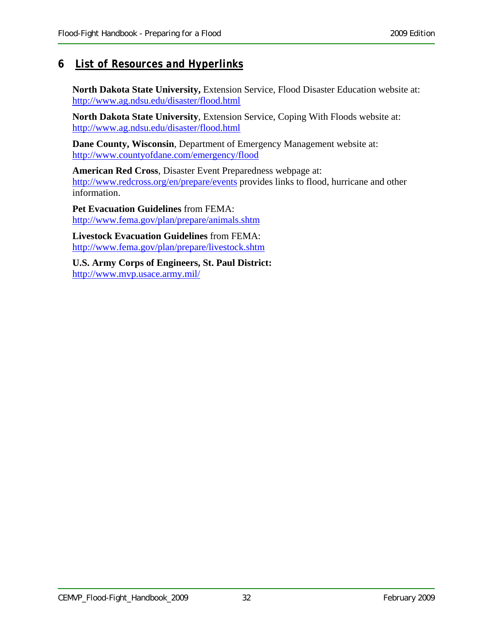#### **6** *List of Resources and Hyperlinks*

**North Dakota State University,** Extension Service, Flood Disaster Education website at: http://www.ag.ndsu.edu/disaster/flood.html

**North Dakota State University**, Extension Service, Coping With Floods website at: http://www.ag.ndsu.edu/disaster/flood.html

**Dane County, Wisconsin**, Department of Emergency Management website at: http://www.countyofdane.com/emergency/flood

**American Red Cross**, Disaster Event Preparedness webpage at: http://www.redcross.org/en/prepare/events provides links to flood, hurricane and other information.

**Pet Evacuation Guidelines** from FEMA: http://www.fema.gov/plan/prepare/animals.shtm

**Livestock Evacuation Guidelines** from FEMA: http://www.fema.gov/plan/prepare/livestock.shtm

**U.S. Army Corps of Engineers, St. Paul District:**  http://www.mvp.usace.army.mil/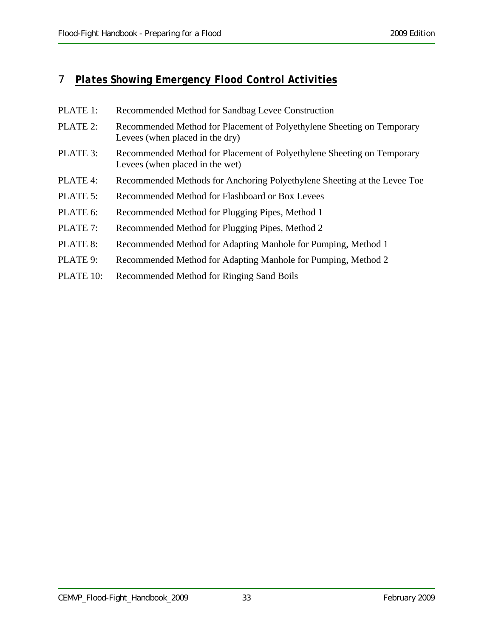### 7 *Plates Showing Emergency Flood Control Activities*

| PLATE 1:  | Recommended Method for Sandbag Levee Construction                                                         |
|-----------|-----------------------------------------------------------------------------------------------------------|
| PLATE 2:  | Recommended Method for Placement of Polyethylene Sheeting on Temporary<br>Levees (when placed in the dry) |
| PLATE 3:  | Recommended Method for Placement of Polyethylene Sheeting on Temporary<br>Levees (when placed in the wet) |
| PLATE 4:  | Recommended Methods for Anchoring Polyethylene Sheeting at the Levee Toe                                  |
| PLATE 5:  | Recommended Method for Flashboard or Box Levees                                                           |
| PLATE 6:  | Recommended Method for Plugging Pipes, Method 1                                                           |
| PLATE 7:  | Recommended Method for Plugging Pipes, Method 2                                                           |
| PLATE 8:  | Recommended Method for Adapting Manhole for Pumping, Method 1                                             |
| PLATE 9:  | Recommended Method for Adapting Manhole for Pumping, Method 2                                             |
| PLATE 10: | Recommended Method for Ringing Sand Boils                                                                 |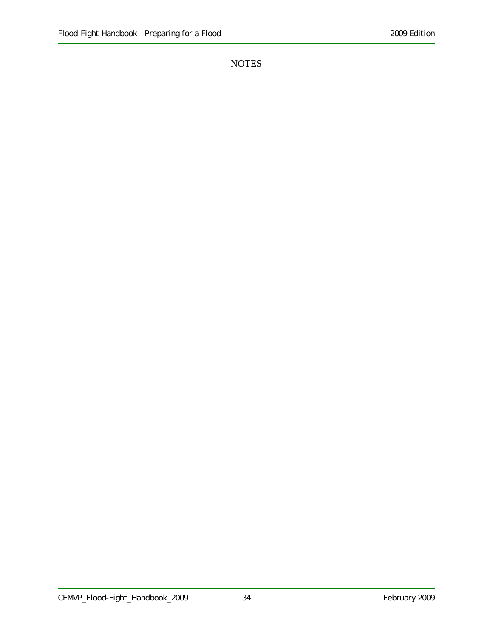NOTES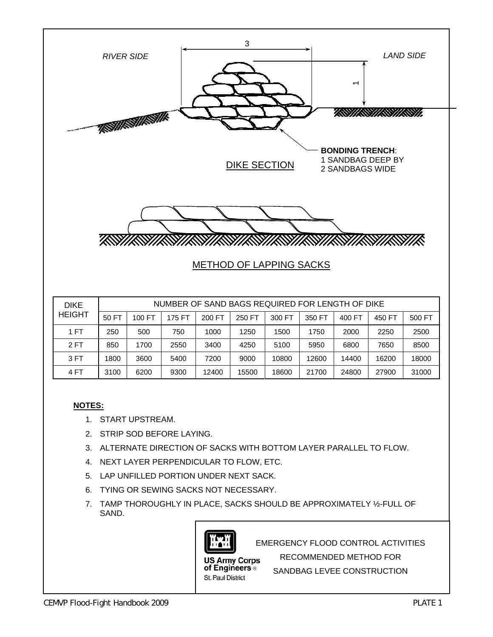

#### **NOTES:**

- 1. START UPSTREAM.
- 2. STRIP SOD BEFORE LAYING.
- 3. ALTERNATE DIRECTION OF SACKS WITH BOTTOM LAYER PARALLEL TO FLOW.

4 FT | 3100 | 6200 | 9300 | 12400 | 15500 | 18600 | 21700 | 24800 | 27900 | 31000

- 4. NEXT LAYER PERPENDICULAR TO FLOW, ETC.
- 5. LAP UNFILLED PORTION UNDER NEXT SACK.
- 6. TYING OR SEWING SACKS NOT NECESSARY.
- 7. TAMP THOROUGHLY IN PLACE, SACKS SHOULD BE APPROXIMATELY ½-FULL OF SAND.



EMERGENCY FLOOD CONTROL ACTIVITIES

**US Army Corps** of Engineers ® St. Paul District

RECOMMENDED METHOD FOR SANDBAG LEVEE CONSTRUCTION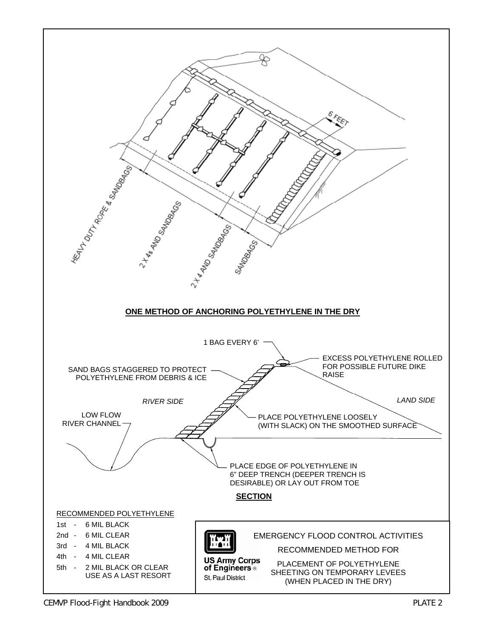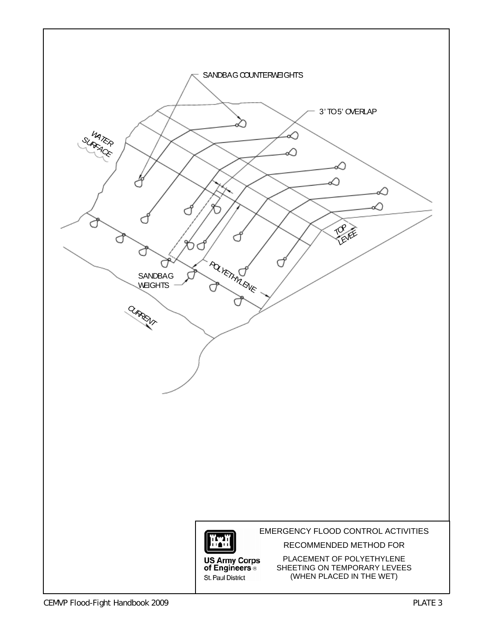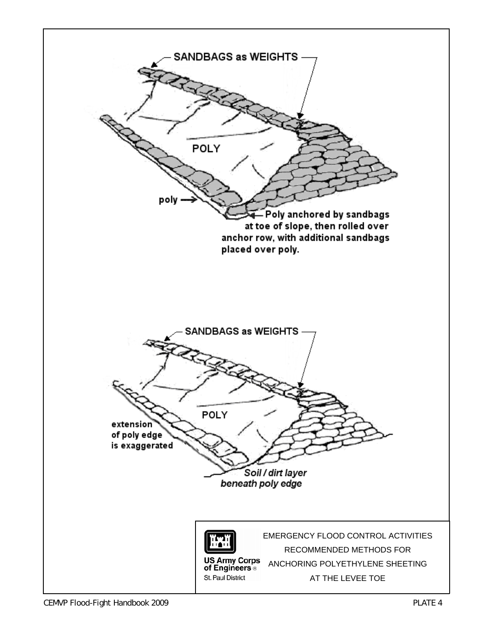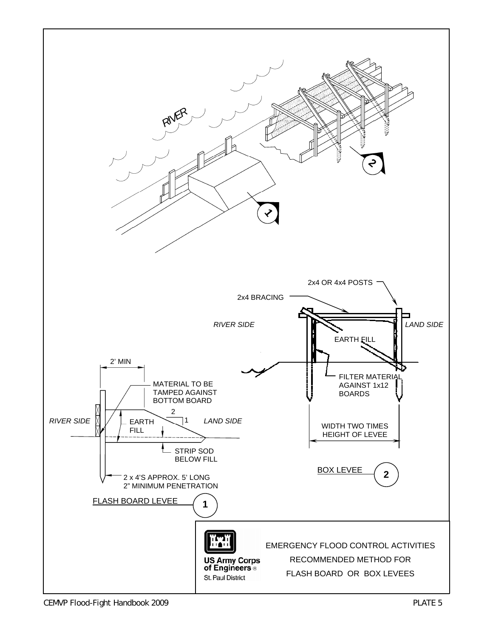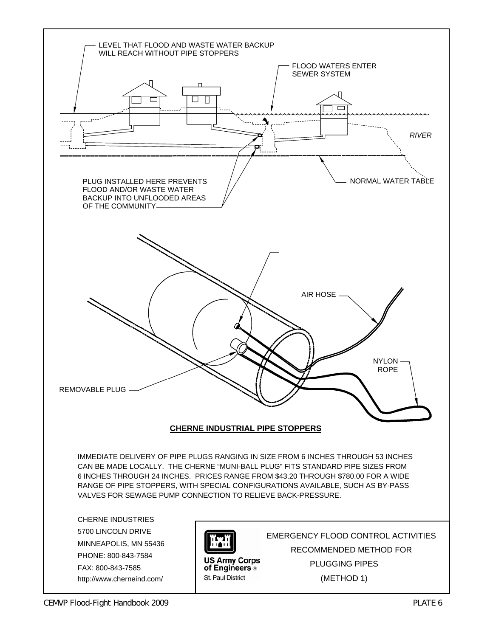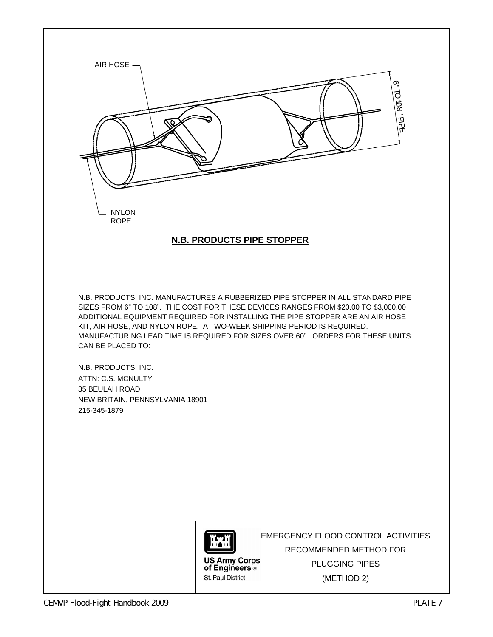

#### **N.B. PRODUCTS PIPE STOPPER**

N.B. PRODUCTS, INC. MANUFACTURES A RUBBERIZED PIPE STOPPER IN ALL STANDARD PIPE SIZES FROM 6" TO 108". THE COST FOR THESE DEVICES RANGES FROM \$20.00 TO \$3,000.00 ADDITIONAL EQUIPMENT REQUIRED FOR INSTALLING THE PIPE STOPPER ARE AN AIR HOSE KIT, AIR HOSE, AND NYLON ROPE. A TWO-WEEK SHIPPING PERIOD IS REQUIRED. MANUFACTURING LEAD TIME IS REQUIRED FOR SIZES OVER 60". ORDERS FOR THESE UNITS CAN BE PLACED TO:

N.B. PRODUCTS, INC. ATTN: C.S. MCNULTY 35 BEULAH ROAD NEW BRITAIN, PENNSYLVANIA 18901 215-345-1879



**US Army Corps** of Engineers<sup>®</sup> St. Paul District

EMERGENCY FLOOD CONTROL ACTIVITIES RECOMMENDED METHOD FOR PLUGGING PIPES (METHOD 2)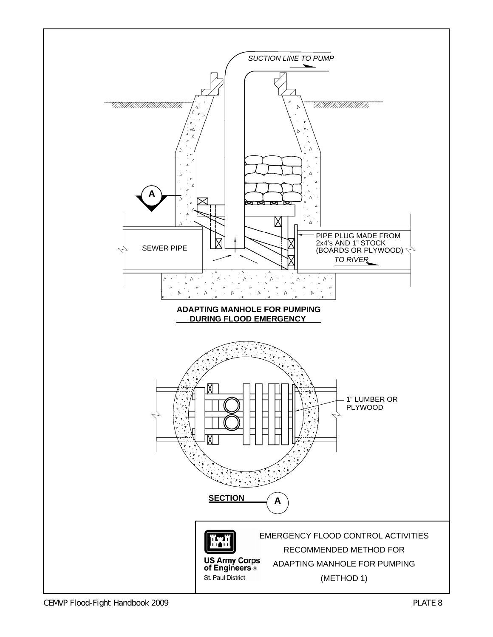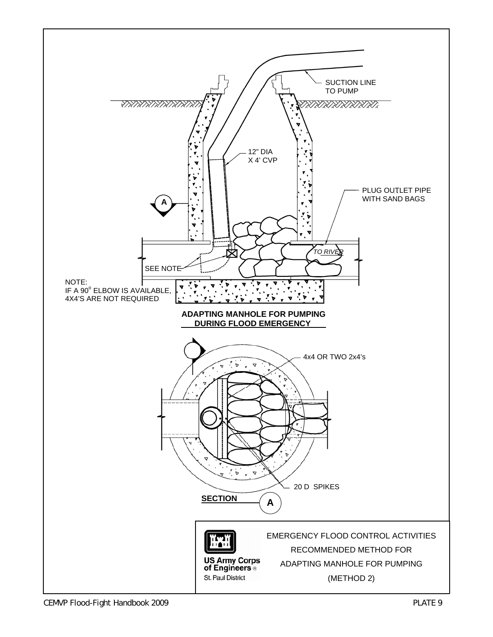